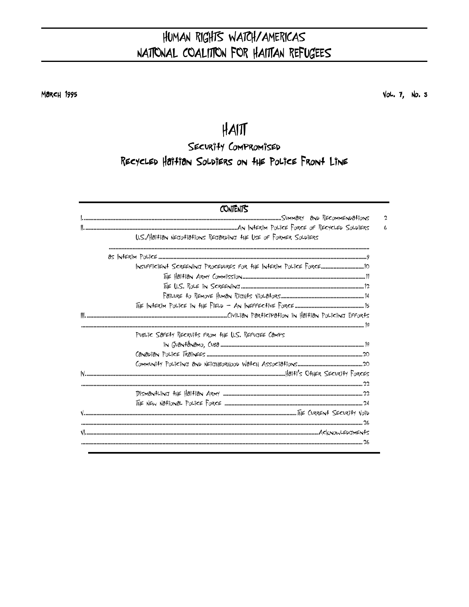# HUMAN RIGHTS WATCH/AMERICAS NATIONAL COALITION FOR HAITTAN REFUGEES

Максн 1995

 $Vol. 7, No. 3$ 

# $H$ AIT

SECURITY COMPROMISED RECYCLED HOTTION SOLDIERS ON THE POLICE FRONT LINE

| CONTENTS                                                           |              |
|--------------------------------------------------------------------|--------------|
|                                                                    | $\mathbf{c}$ |
|                                                                    | L            |
| U.S./Haitian NECTO-tiations RECTARDING THE LISE OF FORMER SOLDIERS |              |
|                                                                    |              |
|                                                                    |              |
|                                                                    |              |
|                                                                    |              |
|                                                                    |              |
|                                                                    |              |
|                                                                    |              |
| PUBLIC SOFETY RECRUITS FROM THE U.S. REFUGEE COMPS                 |              |
|                                                                    |              |
|                                                                    |              |
|                                                                    |              |
|                                                                    |              |
|                                                                    |              |
|                                                                    |              |
|                                                                    |              |
|                                                                    |              |
|                                                                    |              |
|                                                                    |              |
|                                                                    |              |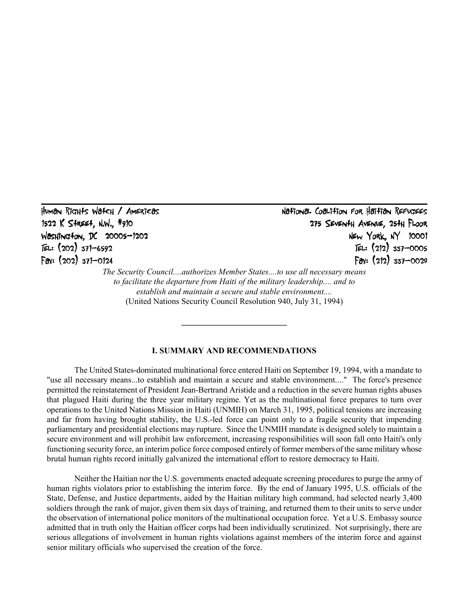Human Rights Watch / Americas National Coalition for Haitian Refugees 1522 K Street, N.W., #910 #910 275 Seventh Avenue, 25th Floor 275 Seventh FloorFloor Washington, DC 20005-1202<br>TEL: (202) 371-6592 FEL: (212) 337-0005 TEL:  $(212)$  337-0005<br>Fax:  $(212)$  337-0028 Fax: (202) 371-0124  *The Security Council....authorizes Member States....to use all necessary means to facilitate the departure from Haiti of the military leadership.... and to* 

 *establish and maintain a secure and stable environment....* 

(United Nations Security Council Resolution 940, July 31, 1994)

**\_\_\_\_\_\_\_\_\_\_\_\_\_\_\_\_\_\_\_\_\_\_\_\_\_**

## **I. SUMMARY AND RECOMMENDATIONS**

The United States-dominated multinational force entered Haiti on September 19, 1994, with a mandate to "use all necessary means...to establish and maintain a secure and stable environment...." The force's presence permitted the reinstatement of President Jean-Bertrand Aristide and a reduction in the severe human rights abuses that plagued Haiti during the three year military regime. Yet as the multinational force prepares to turn over operations to the United Nations Mission in Haiti (UNMIH) on March 31, 1995, political tensions are increasing and far from having brought stability, the U.S.-led force can point only to a fragile security that impending parliamentary and presidential elections may rupture. Since the UNMIH mandate is designed solely to maintain a secure environment and will prohibit law enforcement, increasing responsibilities will soon fall onto Haiti's only functioning security force, an interim police force composed entirely of former members of the same military whose brutal human rights record initially galvanized the international effort to restore democracy to Haiti.

Neither the Haitian nor the U.S. governments enacted adequate screening procedures to purge the army of human rights violators prior to establishing the interim force. By the end of January 1995, U.S. officials of the State, Defense, and Justice departments, aided by the Haitian military high command, had selected nearly 3,400 soldiers through the rank of major, given them six days of training, and returned them to their units to serve under the observation of international police monitors of the multinational occupation force. Yet a U.S. Embassy source admitted that in truth only the Haitian officer corps had been individually scrutinized. Not surprisingly, there are serious allegations of involvement in human rights violations against members of the interim force and against senior military officials who supervised the creation of the force.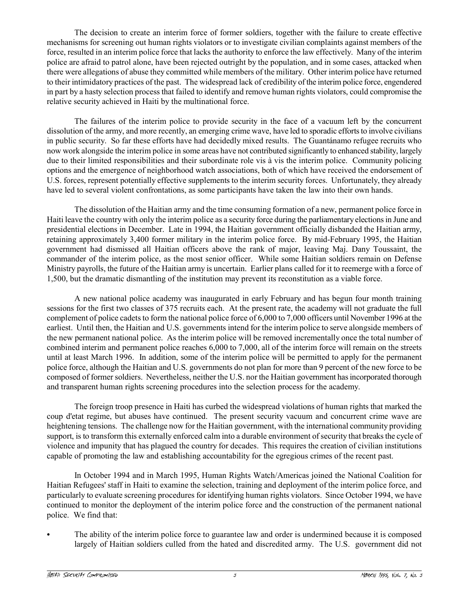The decision to create an interim force of former soldiers, together with the failure to create effective mechanisms for screening out human rights violators or to investigate civilian complaints against members of the force, resulted in an interim police force that lacks the authority to enforce the law effectively. Many of the interim police are afraid to patrol alone, have been rejected outright by the population, and in some cases, attacked when there were allegations of abuse they committed while members of the military. Other interim police have returned to their intimidatory practices of the past. The widespread lack of credibility of the interim police force, engendered in part by a hasty selection process that failed to identify and remove human rights violators, could compromise the relative security achieved in Haiti by the multinational force.

The failures of the interim police to provide security in the face of a vacuum left by the concurrent dissolution of the army, and more recently, an emerging crime wave, have led to sporadic efforts to involve civilians in public security. So far these efforts have had decidedly mixed results. The Guantánamo refugee recruits who now work alongside the interim police in some areas have not contributed significantly to enhanced stability, largely due to their limited responsibilities and their subordinate role vis à vis the interim police. Community policing options and the emergence of neighborhood watch associations, both of which have received the endorsement of U.S. forces, represent potentially effective supplements to the interim security forces. Unfortunately, they already have led to several violent confrontations, as some participants have taken the law into their own hands.

The dissolution of the Haitian army and the time consuming formation of a new, permanent police force in Haiti leave the country with only the interim police as a security force during the parliamentary elections in June and presidential elections in December. Late in 1994, the Haitian government officially disbanded the Haitian army, retaining approximately 3,400 former military in the interim police force. By mid-February 1995, the Haitian government had dismissed all Haitian officers above the rank of major, leaving Maj. Dany Toussaint, the commander of the interim police, as the most senior officer. While some Haitian soldiers remain on Defense Ministry payrolls, the future of the Haitian army is uncertain. Earlier plans called for it to reemerge with a force of 1,500, but the dramatic dismantling of the institution may prevent its reconstitution as a viable force.

A new national police academy was inaugurated in early February and has begun four month training sessions for the first two classes of 375 recruits each. At the present rate, the academy will not graduate the full complement of police cadets to form the national police force of 6,000 to 7,000 officers until November 1996 at the earliest. Until then, the Haitian and U.S. governments intend for the interim police to serve alongside members of the new permanent national police. As the interim police will be removed incrementally once the total number of combined interim and permanent police reaches 6,000 to 7,000, all of the interim force will remain on the streets until at least March 1996. In addition, some of the interim police will be permitted to apply for the permanent police force, although the Haitian and U.S. governments do not plan for more than 9 percent of the new force to be composed of former soldiers. Nevertheless, neither the U.S. nor the Haitian government has incorporated thorough and transparent human rights screening procedures into the selection process for the academy.

The foreign troop presence in Haiti has curbed the widespread violations of human rights that marked the coup d'etat regime, but abuses have continued. The present security vacuum and concurrent crime wave are heightening tensions. The challenge now for the Haitian government, with the international community providing support, is to transform this externally enforced calm into a durable environment of security that breaks the cycle of violence and impunity that has plagued the country for decades. This requires the creation of civilian institutions capable of promoting the law and establishing accountability for the egregious crimes of the recent past.

In October 1994 and in March 1995, Human Rights Watch/Americas joined the National Coalition for Haitian Refugees' staff in Haiti to examine the selection, training and deployment of the interim police force, and particularly to evaluate screening procedures for identifying human rights violators. Since October 1994, we have continued to monitor the deployment of the interim police force and the construction of the permanent national police. We find that:

The ability of the interim police force to guarantee law and order is undermined because it is composed largely of Haitian soldiers culled from the hated and discredited army. The U.S. government did not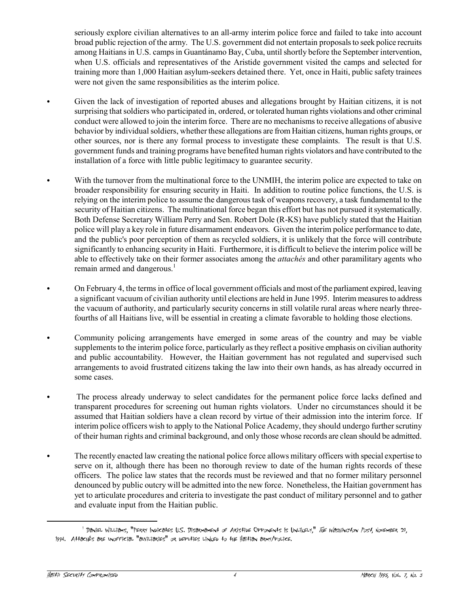seriously explore civilian alternatives to an all-army interim police force and failed to take into account broad public rejection of the army. The U.S. government did not entertain proposals to seek police recruits among Haitians in U.S. camps in Guantánamo Bay, Cuba, until shortly before the September intervention, when U.S. officials and representatives of the Aristide government visited the camps and selected for training more than 1,000 Haitian asylum-seekers detained there. Yet, once in Haiti, public safety trainees were not given the same responsibilities as the interim police.

- Given the lack of investigation of reported abuses and allegations brought by Haitian citizens, it is not surprising that soldiers who participated in, ordered, or tolerated human rights violations and other criminal conduct were allowed to join the interim force. There are no mechanisms to receive allegations of abusive behavior by individual soldiers, whether these allegations are from Haitian citizens, human rights groups, or other sources, nor is there any formal process to investigate these complaints. The result is that U.S. government funds and training programs have benefited human rights violators and have contributed to the installation of a force with little public legitimacy to guarantee security.
- With the turnover from the multinational force to the UNMIH, the interim police are expected to take on broader responsibility for ensuring security in Haiti. In addition to routine police functions, the U.S. is relying on the interim police to assume the dangerous task of weapons recovery, a task fundamental to the security of Haitian citizens. The multinational force began this effort but has not pursued it systematically. Both Defense Secretary William Perry and Sen. Robert Dole (R-KS) have publicly stated that the Haitian police will play a key role in future disarmament endeavors. Given the interim police performance to date, and the public's poor perception of them as recycled soldiers, it is unlikely that the force will contribute significantly to enhancing security in Haiti. Furthermore, it is difficult to believe the interim police will be able to effectively take on their former associates among the *attach* es and other paramilitary agents who remain armed and dangerous.<sup>1</sup>
- On February 4, the terms in office of local government officials and most of the parliament expired, leaving a significant vacuum of civilian authority until elections are held in June 1995. Interim measures to address the vacuum of authority, and particularly security concerns in still volatile rural areas where nearly threefourths of all Haitians live, will be essential in creating a climate favorable to holding those elections.
- Community policing arrangements have emerged in some areas of the country and may be viable supplements to the interim police force, particularly as they reflect a positive emphasis on civilian authority and public accountability. However, the Haitian government has not regulated and supervised such arrangements to avoid frustrated citizens taking the law into their own hands, as has already occurred in some cases.
- The process already underway to select candidates for the permanent police force lacks defined and transparent procedures for screening out human rights violators. Under no circumstances should it be assumed that Haitian soldiers have a clean record by virtue of their admission into the interim force. If interim police officers wish to apply to the National Police Academy, they should undergo further scrutiny of their human rights and criminal background, and only those whose records are clean should be admitted.
- C The recently enacted law creating the national police force allows military officers with special expertise to serve on it, although there has been no thorough review to date of the human rights records of these officers. The police law states that the records must be reviewed and that no former military personnel denounced by public outcry will be admitted into the new force. Nonetheless, the Haitian government has yet to articulate procedures and criteria to investigate the past conduct of military personnel and to gather and evaluate input from the Haitian public.

<sup>&</sup>lt;sup>1</sup> Daniel Williams, "Perry Indicates U.S. Disarmament of Aristide Opponents Is Unlikely," *The Washington Post,* November 29, 1994. AttachÈs are unofficial "auxiliaries" or deputies linked to the Haitian army/police.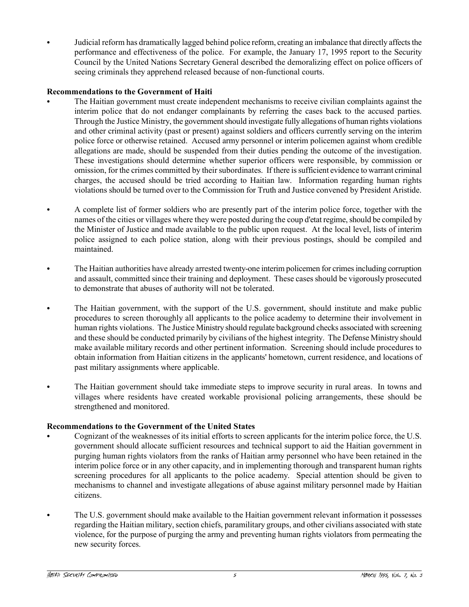Judicial reform has dramatically lagged behind police reform, creating an imbalance that directly affects the performance and effectiveness of the police. For example, the January 17, 1995 report to the Security Council by the United Nations Secretary General described the demoralizing effect on police officers of seeing criminals they apprehend released because of non-functional courts.

# **Recommendations to the Government of Haiti**

- The Haitian government must create independent mechanisms to receive civilian complaints against the interim police that do not endanger complainants by referring the cases back to the accused parties. Through the Justice Ministry, the government should investigate fully allegations of human rights violations and other criminal activity (past or present) against soldiers and officers currently serving on the interim police force or otherwise retained. Accused army personnel or interim policemen against whom credible allegations are made, should be suspended from their duties pending the outcome of the investigation. These investigations should determine whether superior officers were responsible, by commission or omission, for the crimes committed by their subordinates. If there is sufficient evidence to warrant criminal charges, the accused should be tried according to Haitian law. Information regarding human rights violations should be turned over to the Commission for Truth and Justice convened by President Aristide.
- A complete list of former soldiers who are presently part of the interim police force, together with the names of the cities or villages where they were posted during the coup d'etat regime, should be compiled by the Minister of Justice and made available to the public upon request. At the local level, lists of interim police assigned to each police station, along with their previous postings, should be compiled and maintained.
- The Haitian authorities have already arrested twenty-one interim policemen for crimes including corruption and assault, committed since their training and deployment. These cases should be vigorously prosecuted to demonstrate that abuses of authority will not be tolerated.
- The Haitian government, with the support of the U.S. government, should institute and make public procedures to screen thoroughly all applicants to the police academy to determine their involvement in human rights violations. The Justice Ministry should regulate background checks associated with screening and these should be conducted primarily by civilians of the highest integrity. The Defense Ministry should make available military records and other pertinent information. Screening should include procedures to obtain information from Haitian citizens in the applicants' hometown, current residence, and locations of past military assignments where applicable.
- The Haitian government should take immediate steps to improve security in rural areas. In towns and villages where residents have created workable provisional policing arrangements, these should be strengthened and monitored.

# **Recommendations to the Government of the United States**

- C Cognizant of the weaknesses of its initial efforts to screen applicants for the interim police force, the U.S. government should allocate sufficient resources and technical support to aid the Haitian government in purging human rights violators from the ranks of Haitian army personnel who have been retained in the interim police force or in any other capacity, and in implementing thorough and transparent human rights screening procedures for all applicants to the police academy. Special attention should be given to mechanisms to channel and investigate allegations of abuse against military personnel made by Haitian citizens.
- The U.S. government should make available to the Haitian government relevant information it possesses regarding the Haitian military, section chiefs, paramilitary groups, and other civilians associated with state violence, for the purpose of purging the army and preventing human rights violators from permeating the new security forces.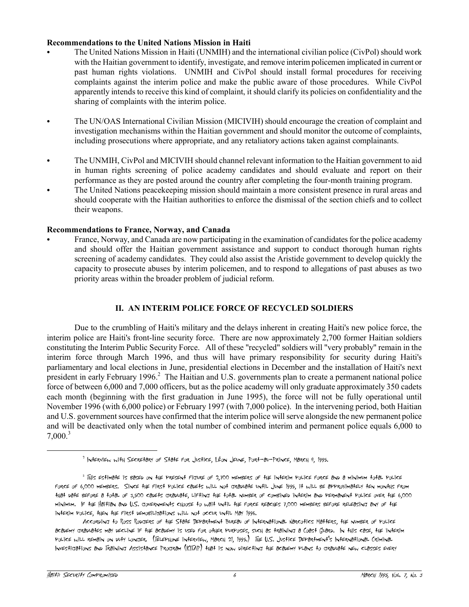# **Recommendations to the United Nations Mission in Haiti**

- C The United Nations Mission in Haiti (UNMIH) and the international civilian police (CivPol) should work with the Haitian government to identify, investigate, and remove interim policemen implicated in current or past human rights violations. UNMIH and CivPol should install formal procedures for receiving complaints against the interim police and make the public aware of those procedures. While CivPol apparently intends to receive this kind of complaint, it should clarify its policies on confidentiality and the sharing of complaints with the interim police.
- The UN/OAS International Civilian Mission (MICIVIH) should encourage the creation of complaint and investigation mechanisms within the Haitian government and should monitor the outcome of complaints, including prosecutions where appropriate, and any retaliatory actions taken against complainants.
- The UNMIH, CivPol and MICIVIH should channel relevant information to the Haitian government to aid in human rights screening of police academy candidates and should evaluate and report on their performance as they are posted around the country after completing the four-month training program.
- The United Nations peacekeeping mission should maintain a more consistent presence in rural areas and should cooperate with the Haitian authorities to enforce the dismissal of the section chiefs and to collect their weapons.

## **Recommendations to France, Norway, and Canada**

France, Norway, and Canada are now participating in the examination of candidates for the police academy and should offer the Haitian government assistance and support to conduct thorough human rights screening of academy candidates. They could also assist the Aristide government to develop quickly the capacity to prosecute abuses by interim policemen, and to respond to allegations of past abuses as two priority areas within the broader problem of judicial reform.

# **II. AN INTERIM POLICE FORCE OF RECYCLED SOLDIERS**

Due to the crumbling of Haiti's military and the delays inherent in creating Haiti's new police force, the interim police are Haiti's front-line security force. There are now approximately 2,700 former Haitian soldiers constituting the Interim Public Security Force. All of these "recycled" soldiers will "very probably" remain in the interim force through March 1996, and thus will have primary responsibility for security during Haiti's parliamentary and local elections in June, presidential elections in December and the installation of Haiti's next president in early February 1996.<sup>2</sup> The Haitian and U.S. governments plan to create a permanent national police force of between 6,000 and 7,000 officers, but as the police academy will only graduate approximately 350 cadets each month (beginning with the first graduation in June 1995), the force will not be fully operational until November 1996 (with 6,000 police) or February 1997 (with 7,000 police). In the intervening period, both Haitian and U.S. government sources have confirmed that the interim police will serve alongside the new permanent police and will be deactivated only when the total number of combined interim and permanent police equals 6,000 to  $7,000$ <sup>3</sup>

 $^2$  INterview with Secretary of State for Justice, Léon Jeune, Port-au-Prince, March 9, 1995.

<sup>&</sup>lt;sup>3</sup> This Estimate is based on the Present Figure of 2,700 members of the interim PoLice force and a minimum total PoLice force of 6,000 members. Since the first police cadets will not graduate until June 1995, it will be approximately ten months from that date before a total of 3,500 cadets graduate, lifting the total number of combined interim and permanent police over the 6,000 minimum. If the Haitian and U.S. governments choose to wait until the force reaches 7,000 members before releasing any of the interim police, then the first demobilizations will not occur until May 1996.

According to Ross Rodgers of the State Department Bureau of International Narcotics Matters, the number of police academy graduates may decline if the academy is used for other purposes, such as training a Coast Guard. In this case, the interim police will remain on duty longer. (Telephone interview, March 21, 1995.) The U.S. Justice Department's International Criminal Investigations and Training Assistance Program (ICITAP) that is now directing the academy plans to graduate new classes every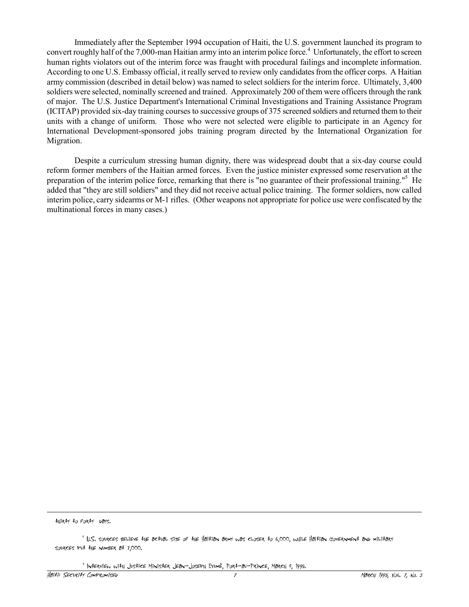Immediately after the September 1994 occupation of Haiti, the U.S. government launched its program to convert roughly half of the 7,000-man Haitian army into an interim police force.<sup>4</sup> Unfortunately, the effort to screen human rights violators out of the interim force was fraught with procedural failings and incomplete information. According to one U.S. Embassy official, it really served to review only candidates from the officer corps. A Haitian army commission (described in detail below) was named to select soldiers for the interim force. Ultimately, 3,400 soldiers were selected, nominally screened and trained. Approximately 200 of them were officers through the rank of major. The U.S. Justice Department's International Criminal Investigations and Training Assistance Program (ICITAP) provided six-day training courses to successive groups of 375 screened soldiers and returned them to their units with a change of uniform. Those who were not selected were eligible to participate in an Agency for International Development-sponsored jobs training program directed by the International Organization for Migration.

Despite a curriculum stressing human dignity, there was widespread doubt that a six-day course could reform former members of the Haitian armed forces. Even the justice minister expressed some reservation at the preparation of the interim police force, remarking that there is "no guarantee of their professional training."<sup>5</sup> He added that "they are still soldiers" and they did not receive actual police training. The former soldiers, now called interim police, carry sidearms or M-1 rifles. (Other weapons not appropriate for police use were confiscated by the multinational forces in many cases.)

thirty to forty days.

 $\overline{a}$ 

5 Interview with Justice Minister Jean-Joseph ExumÈ, Port-au-Prince, March 8, 1995.

<sup>4</sup> U.S. sources believe the actual size of the Haitian army was closer to 6,000, while Haitian government and military sources put the number at 7,000.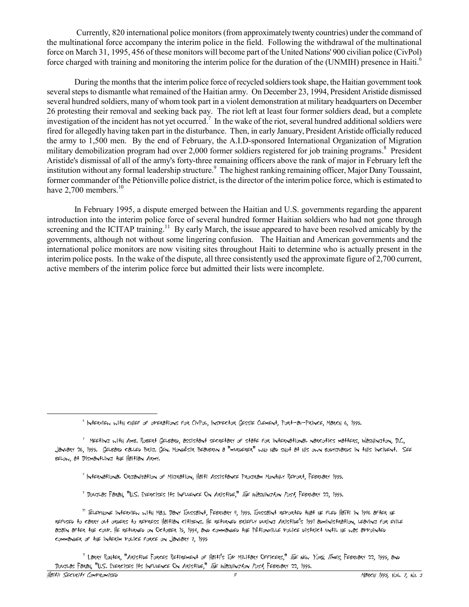Currently, 820 international police monitors (from approximately twenty countries) under the command of the multinational force accompany the interim police in the field. Following the withdrawal of the multinational force on March 31, 1995, 456 of these monitors will become part of the United Nations' 900 civilian police (CivPol) force charged with training and monitoring the interim police for the duration of the (UNMIH) presence in Haiti.<sup>6</sup>

 During the months that the interim police force of recycled soldiers took shape, the Haitian government took several steps to dismantle what remained of the Haitian army. On December 23, 1994, President Aristide dismissed several hundred soldiers, many of whom took part in a violent demonstration at military headquarters on December 26 protesting their removal and seeking back pay. The riot left at least four former soldiers dead, but a complete investigation of the incident has not yet occurred.<sup>7</sup> In the wake of the riot, several hundred additional soldiers were fired for allegedly having taken part in the disturbance. Then, in early January, President Aristide officially reduced the army to 1,500 men. By the end of February, the A.I.D-sponsored International Organization of Migration military demobilization program had over 2,000 former soldiers registered for job training programs.<sup>8</sup> President Aristide's dismissal of all of the army's forty-three remaining officers above the rank of major in February left the institution without any formal leadership structure.<sup>9</sup> The highest ranking remaining officer, Major Dany Toussaint, former commander of the PÈtionville police district, is the director of the interim police force, which is estimated to have  $2,700$  members.<sup>10</sup>

In February 1995, a dispute emerged between the Haitian and U.S. governments regarding the apparent introduction into the interim police force of several hundred former Haitian soldiers who had not gone through screening and the ICITAP training.<sup>11</sup> By early March, the issue appeared to have been resolved amicably by the governments, although not without some lingering confusion. The Haitian and American governments and the international police monitors are now visiting sites throughout Haiti to determine who is actually present in the interim police posts. In the wake of the dispute, all three consistently used the approximate figure of 2,700 current, active members of the interim police force but admitted their lists were incomplete.

- 8 International Organization of Migration, Haiti Assistance Program Monthly Report, February 1995.
- <sup>9</sup> DougLas Farah, "U.S. Exercises Its Influence On Aristide," *The Washington Post*, February 22, 1995.

<sup>6</sup> Interview with chief of operations for CivPol, Inspector Gessie Clement, Port-au-Prince, March 6, 1995.

<sup>&</sup>lt;sup>7</sup> MEEfing with Amb. Robert Gelbard, assistant secretary of state for international narcotics matters, Washington, D.C., January 26, 1995. Gelbard called Brig. Gen. MondÈsir Beaubrun a "murderer" who had shot at his own bodyguards in this incident. See below, at Dismantling the Haitian Army.

<sup>&</sup>lt;sup>10</sup> TELEPHONE IN‡ERVIEW WI<sup>1</sup>H MAJ. DaNY TOUSSAIN‡, FEBRUARY 9, 1995. TOUSSAIN‡ REPOR‡ED HIA‡ HE FLED HAT‡I IN 1996 AF‡ER HE refused to carry out orders to repress Haitian citizens. He returned briefly during Aristide's 1991 administration, leaving for exile again after the coup. He returned on October 15, 1994, and commanded the PÈtionville police district until he was appointed commander of the interim police force on January 7, 1995

<sup>&</sup>lt;sup>11</sup> Larry Rohter, "Aristide Forces Retirement of Haiti's Top Military Officers," *The New York Times*, February 22, 1995, and Douglas Farah, "U.S. Exercises Its Influence On Aristide," The Washington Post, February 22, 1995.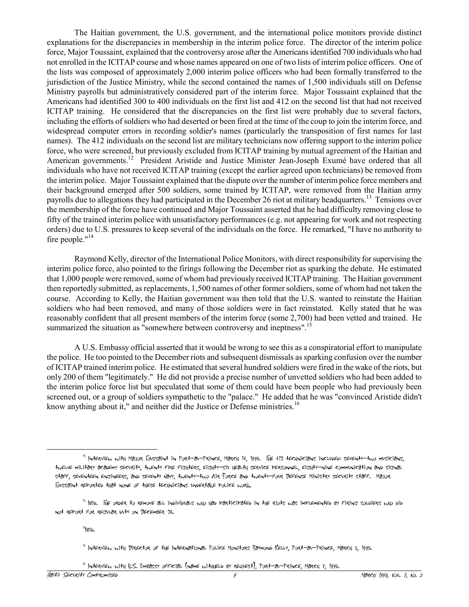The Haitian government, the U.S. government, and the international police monitors provide distinct explanations for the discrepancies in membership in the interim police force. The director of the interim police force, Major Toussaint, explained that the controversy arose after the Americans identified 700 individuals who had not enrolled in the ICITAP course and whose names appeared on one of two lists of interim police officers. One of the lists was composed of approximately 2,000 interim police officers who had been formally transferred to the jurisdiction of the Justice Ministry, while the second contained the names of 1,500 individuals still on Defense Ministry payrolls but administratively considered part of the interim force. Major Toussaint explained that the Americans had identified 300 to 400 individuals on the first list and 412 on the second list that had not received ICITAP training. He considered that the discrepancies on the first list were probably due to several factors, including the efforts of soldiers who had deserted or been fired at the time of the coup to join the interim force, and widespread computer errors in recording soldier's names (particularly the transposition of first names for last names). The 412 individuals on the second list are military technicians now offering support to the interim police force, who were screened, but previously excluded from ICITAP training by mutual agreement of the Haitian and American governments.<sup>12</sup> President Aristide and Justice Minister Jean-Joseph Exumé have ordered that all individuals who have not received ICITAP training (except the earlier agreed upon technicians) be removed from the interim police. Major Toussaint explained that the dispute over the number of interim police force members and their background emerged after 500 soldiers, some trained by ICITAP, were removed from the Haitian army payrolls due to allegations they had participated in the December 26 riot at military headquarters.<sup>13</sup> Tensions over the membership of the force have continued and Major Toussaint asserted that he had difficulty removing close to fifty of the trained interim police with unsatisfactory performances (e.g. not appearing for work and not respecting orders) due to U.S. pressures to keep several of the individuals on the force. He remarked, "I have no authority to fire people."<sup>14</sup>

Raymond Kelly, director of the International Police Monitors, with direct responsibility for supervising the interim police force, also pointed to the firings following the December riot as sparking the debate. He estimated that 1,000 people were removed, some of whom had previously received ICITAP training. The Haitian government then reportedly submitted, as replacements, 1,500 names of other former soldiers, some of whom had not taken the course. According to Kelly, the Haitian government was then told that the U.S. wanted to reinstate the Haitian soldiers who had been removed, and many of those soldiers were in fact reinstated. Kelly stated that he was reasonably confident that all present members of the interim force (some 2,700) had been vetted and trained. He summarized the situation as "somewhere between controversy and ineptness".<sup>15</sup>

A U.S. Embassy official asserted that it would be wrong to see this as a conspiratorial effort to manipulate the police. He too pointed to the December riots and subsequent dismissals as sparking confusion over the number of ICITAP trained interim police. He estimated that several hundred soldiers were fired in the wake of the riots, but only 200 of them "legitimately." He did not provide a precise number of unvetted soldiers who had been added to the interim police force list but speculated that some of them could have been people who had previously been screened out, or a group of soldiers sympathetic to the "palace." He added that he was "convinced Aristide didn't know anything about it," and neither did the Justice or Defense ministries.<sup>16</sup>

 $14$ <sub>B</sub>id.

<sup>12</sup> Interview with Major Toussaint in Port-au-Prince, March 14, 1995. The 412 technicians included: seventy-two musicians, twelve military academy security, twenty fire fighters, eighty-six health service Personnel, eighty-nine communication and signal staff, seventeen engineers, and seventy Navy, twenty-two Air Force and twenty-four Defense Ministry security staff. Major Toussaint reported that none of these technicians undertake police work.

<sup>&</sup>lt;sup>13</sup> IBiD. The order to remove all individuals who had Participated in the riots was implemented by firing soldiers who did not report for regular duty on December 26.

<sup>15</sup> Interview with Director of the International Police Monitors Raymond Kelly, Port-au-Prince, March 3, 1995.

 $16$  INTERVIEW WITH U.S. EMBASSY OFFICIAL (NAME WITHHELD BY REQUEST), PORT-AU-PRINCE, MARCH 7, 1995.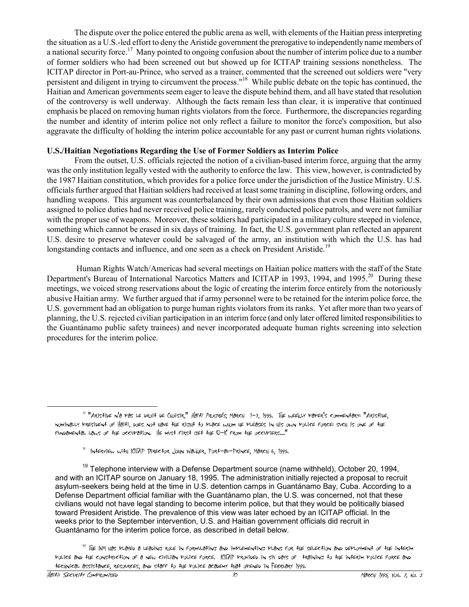The dispute over the police entered the public arena as well, with elements of the Haitian press interpreting the situation as a U.S.-led effort to deny the Aristide government the prerogative to independently name members of a national security force.<sup>17</sup> Many pointed to ongoing confusion about the number of interim police due to a number of former soldiers who had been screened out but showed up for ICITAP training sessions nonetheless. The ICITAP director in Port-au-Prince, who served as a trainer, commented that the screened out soldiers were "very persistent and diligent in trying to circumvent the process."<sup>18</sup> While public debate on the topic has continued, the Haitian and American governments seem eager to leave the dispute behind them, and all have stated that resolution of the controversy is well underway. Although the facts remain less than clear, it is imperative that continued emphasis be placed on removing human rights violators from the force. Furthermore, the discrepancies regarding the number and identity of interim police not only reflect a failure to monitor the force's composition, but also aggravate the difficulty of holding the interim police accountable for any past or current human rights violations.

## **U.S./Haitian Negotiations Regarding the Use of Former Soldiers as Interim Police**

From the outset, U.S. officials rejected the notion of a civilian-based interim force, arguing that the army was the only institution legally vested with the authority to enforce the law. This view, however, is contradicted by the 1987 Haitian constitution, which provides for a police force under the jurisdiction of the Justice Ministry. U.S. officials further argued that Haitian soldiers had received at least some training in discipline, following orders, and handling weapons. This argument was counterbalanced by their own admissions that even those Haitian soldiers assigned to police duties had never received police training, rarely conducted police patrols, and were not familiar with the proper use of weapons. Moreover, these soldiers had participated in a military culture steeped in violence, something which cannot be erased in six days of training. In fact, the U.S. government plan reflected an apparent U.S. desire to preserve whatever could be salvaged of the army, an institution with which the U.S. has had longstanding contacts and influence, and one seen as a check on President Aristide.<sup>19</sup>

 Human Rights Watch/Americas had several meetings on Haitian police matters with the staff of the State Department's Bureau of International Narcotics Matters and ICITAP in 1993, 1994, and 1995.<sup>20</sup> During these meetings, we voiced strong reservations about the logic of creating the interim force entirely from the notoriously abusive Haitian army. We further argued that if army personnel were to be retained for the interim police force, the U.S. government had an obligation to purge human rights violators from its ranks. Yet after more than two years of planning, the U.S. rejected civilian participation in an interim force (and only later offered limited responsibilities to the Guantánamo public safety trainees) and never incorporated adequate human rights screening into selection procedures for the interim police.

<sup>&</sup>lt;sup>17 "</sup>Aristide n'a Pas Le droit de Choisir," *Haiti Procrés*, March 1-7, 1995. The weekly PaPer's commentary: "Aristide, nominally president of Haiti, does not have the right to place whom he pleases in his own police force: such is one of the fundamental laws of the occupation. He must first get the O-K from the occupiers...."

<sup>18</sup> Interview with ICITAP Director John Walker, Port-au-Prince, March 6, 1995.

 $19$  Telephone interview with a Defense Department source (name withheld), October 20, 1994, and with an ICITAP source on January 18, 1995. The administration initially rejected a proposal to recruit asylum-seekers being held at the time in U.S. detention camps in Guantánamo Bay, Cuba. According to a Defense Department official familiar with the Guantánamo plan, the U.S. was concerned, not that these civilians would not have legal standing to become interim police, but that they would be politically biased toward President Aristide. The prevalence of this view was later echoed by an ICITAP official. In the weeks prior to the September intervention, U.S. and Haitian government officials did recruit in Guantánamo for the interim police force, as described in detail below.

 $^{20}$  The INM Has PLayed a Leading role in Formulating and implementing PLans For the selection and dePLoyment of the interim police and the construction of a new civilian police force. ICITAP provided in six days of training to the interim police force and technical assistance, resources, and staff to the police academy that opened in February 1995.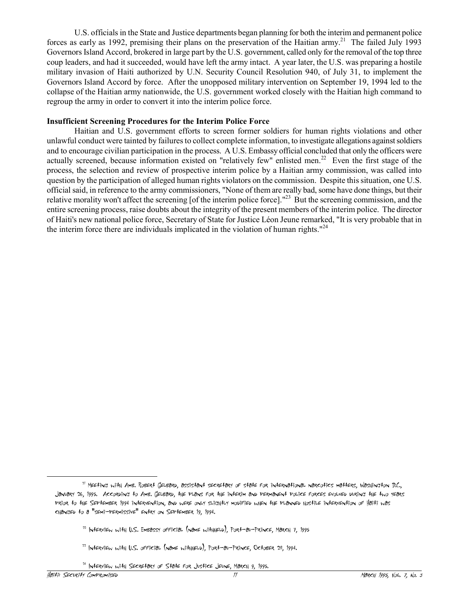U.S. officials in the State and Justice departments began planning for both the interim and permanent police forces as early as 1992, premising their plans on the preservation of the Haitian army.<sup>21</sup> The failed July 1993 Governors Island Accord, brokered in large part by the U.S. government, called only for the removal of the top three coup leaders, and had it succeeded, would have left the army intact. A year later, the U.S. was preparing a hostile military invasion of Haiti authorized by U.N. Security Council Resolution 940, of July 31, to implement the Governors Island Accord by force. After the unopposed military intervention on September 19, 1994 led to the collapse of the Haitian army nationwide, the U.S. government worked closely with the Haitian high command to regroup the army in order to convert it into the interim police force.

#### **Insufficient Screening Procedures for the Interim Police Force**

Haitian and U.S. government efforts to screen former soldiers for human rights violations and other unlawful conduct were tainted by failures to collect complete information, to investigate allegations against soldiers and to encourage civilian participation in the process. A U.S. Embassy official concluded that only the officers were actually screened, because information existed on "relatively few" enlisted men.<sup>22</sup> Even the first stage of the process, the selection and review of prospective interim police by a Haitian army commission, was called into question by the participation of alleged human rights violators on the commission. Despite this situation, one U.S. official said, in reference to the army commissioners, "None of them are really bad, some have done things, but their relative morality won't affect the screening [of the interim police force]."<sup>23</sup> But the screening commission, and the entire screening process, raise doubts about the integrity of the present members of the interim police. The director of Haiti's new national police force, Secretary of State for Justice LÈon Jeune remarked, "It is very probable that in the interim force there are individuals implicated in the violation of human rights.<sup>"24</sup>

<sup>&</sup>lt;sup>21</sup> MEETING WITH AMB. ROBERT GELBARD, ASSISTANT SECRETARY OF STATE FOR INTERNATIONAL NARCOTICS MATTERS, WASHINGTON D.C., January 26, 1995. According to Amb. Gelbard, the plans for the interim and permanent police forces evolved during the two years prior to the September 1994 intervention, and were only slightly modified when the planned hostile intervention of Haiti was changed to a "semi-permissive" entry on September 19, 1994.

 $^{22}$  INTERVIEW WITH U.S. EMBASSY OFFICIAL (NAME WITHHELD), PORT-AU-PRINCE, MARCH 7, 1995

 $22$  INTERVIEW WITH U.S. OFFICIAL (NAME WITHHELD), PORT-AU-PRINCE, OCTOBER 28, 1994.

 $24$  INTERVIEW WITH SECRETARY OF STATE FOR JUSTICE JEUNE, MARCH 9, 1995.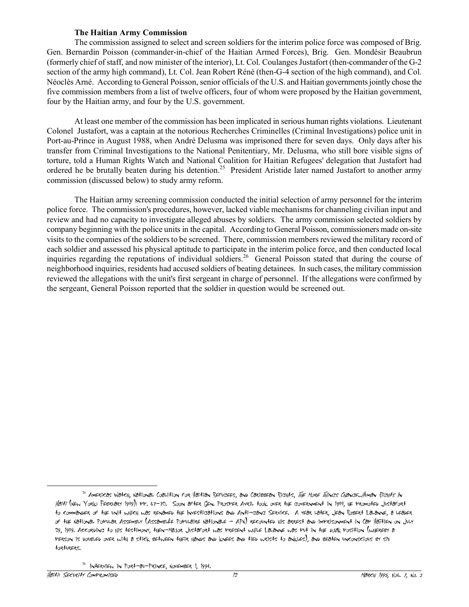### **The Haitian Army Commission**

The commission assigned to select and screen soldiers for the interim police force was composed of Brig. Gen. Bernardin Poisson (commander-in-chief of the Haitian Armed Forces), Brig. Gen. Mondésir Beaubrun (formerly chief of staff, and now minister of the interior), Lt. Col. Coulanges Justafort (then-commander of the G-2 section of the army high command), Lt. Col. Jean Robert Réné (then-G-4 section of the high command), and Col. Néoclès Arné. According to General Poisson, senior officials of the U.S. and Haitian governments jointly chose the five commission members from a list of twelve officers, four of whom were proposed by the Haitian government, four by the Haitian army, and four by the U.S. government.

At least one member of the commission has been implicated in serious human rights violations. Lieutenant Colonel Justafort, was a captain at the notorious Recherches Criminelles (Criminal Investigations) police unit in Port-au-Prince in August 1988, when André Delusma was imprisoned there for seven days. Only days after his transfer from Criminal Investigations to the National Penitentiary, Mr. Delusma, who still bore visible signs of torture, told a Human Rights Watch and National Coalition for Haitian Refugees' delegation that Justafort had ordered he be brutally beaten during his detention.<sup>25</sup> President Aristide later named Justafort to another army commission (discussed below) to study army reform.

The Haitian army screening commission conducted the initial selection of army personnel for the interim police force. The commission's procedures, however, lacked viable mechanisms for channeling civilian input and review and had no capacity to investigate alleged abuses by soldiers. The army commission selected soldiers by company beginning with the police units in the capital. According to General Poisson, commissioners made on-site visits to the companies of the soldiers to be screened. There, commission members reviewed the military record of each soldier and assessed his physical aptitude to participate in the interim police force, and then conducted local inquiries regarding the reputations of individual soldiers.<sup>26</sup> General Poisson stated that during the course of neighborhood inquiries, residents had accused soldiers of beating detainees. In such cases, the military commission reviewed the allegations with the unit's first sergeant in charge of personnel. If the allegations were confirmed by the sergeant, General Poisson reported that the soldier in question would be screened out.

<sup>&</sup>lt;sup>25</sup> Americas Watch, National Coalition for Haitian Refugees, and Caribbean Rights, *The More Things Change...Human Rights In* Haiti (New York: February 1989); pp. 67-70. Soon after Gen. Prosper Avril took over the government in 1988, he promoted Justafort to commander of the unit which was renamed the Investigations and Anti-gang Service. A year later, Jean Robert Lalanne, a leader of the National Popular Assembly (AssamblÈe Populaire Nationale - APN) recounted his arrest and imprisonment in Cap HaÔtien on July 29, 1989. According to his testimony, then-Major Justafort was present while Lalanne was put in the djak position (whereby a person is doubled over with a stick between their hands and knees and tied wrists to ankles), and beaten unconscious by six torturers.

 $26$  INTERVIEW IN PORT-au-Prince, November 1, 1994.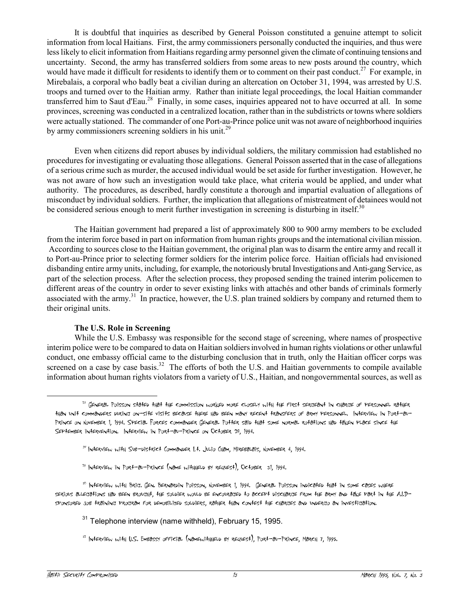It is doubtful that inquiries as described by General Poisson constituted a genuine attempt to solicit information from local Haitians. First, the army commissioners personally conducted the inquiries, and thus were less likely to elicit information from Haitians regarding army personnel given the climate of continuing tensions and uncertainty. Second, the army has transferred soldiers from some areas to new posts around the country, which would have made it difficult for residents to identify them or to comment on their past conduct.<sup>27</sup> For example, in Mirebalais, a corporal who badly beat a civilian during an altercation on October 31, 1994, was arrested by U.S. troops and turned over to the Haitian army. Rather than initiate legal proceedings, the local Haitian commander transferred him to Saut d'Eau.<sup>28</sup> Finally, in some cases, inquiries appeared not to have occurred at all. In some provinces, screening was conducted in a centralized location, rather than in the subdistricts or towns where soldiers were actually stationed. The commander of one Port-au-Prince police unit was not aware of neighborhood inquiries by army commissioners screening soldiers in his unit.<sup>29</sup>

Even when citizens did report abuses by individual soldiers, the military commission had established no procedures for investigating or evaluating those allegations. General Poisson asserted that in the case of allegations of a serious crime such as murder, the accused individual would be set aside for further investigation. However, he was not aware of how such an investigation would take place, what criteria would be applied, and under what authority. The procedures, as described, hardly constitute a thorough and impartial evaluation of allegations of misconduct by individual soldiers. Further, the implication that allegations of mistreatment of detainees would not be considered serious enough to merit further investigation in screening is disturbing in itself.<sup>30</sup>

The Haitian government had prepared a list of approximately 800 to 900 army members to be excluded from the interim force based in part on information from human rights groups and the international civilian mission. According to sources close to the Haitian government, the original plan was to disarm the entire army and recall it to Port-au-Prince prior to selecting former soldiers for the interim police force. Haitian officials had envisioned disbanding entire army units, including, for example, the notoriously brutal Investigations and Anti-gang Service, as part of the selection process. After the selection process, they proposed sending the trained interim policemen to different areas of the country in order to sever existing links with attachés and other bands of criminals formerly associated with the army.<sup>31</sup> In practice, however, the U.S. plan trained soldiers by company and returned them to their original units.

## **The U.S. Role in Screening**

While the U.S. Embassy was responsible for the second stage of screening, where names of prospective interim police were to be compared to data on Haitian soldiers involved in human rights violations or other unlawful conduct, one embassy official came to the disturbing conclusion that in truth, only the Haitian officer corps was screened on a case by case basis.<sup>32</sup> The efforts of both the U.S. and Haitian governments to compile available information about human rights violators from a variety of U.S., Haitian, and nongovernmental sources, as well as

 $29$  INTERVIEW IN PORT-OU-PRINCE (NOME WITHHELD BY REQUEST), OCTOBER 31, 1994.

 $^{27}$  General Poisson stated that the commission worked more closely with the First sergeant in charge of Personnel rather than unit commanders during on-site visits because there had been many recent transfers of army personnel. Interview in Port-au-Prince on November 1, 1994. Special Forces commander General Potter said that some normal rotations had taken place since the September intervention. Interview in Port-au-Prince on October 28, 1994.

<sup>&</sup>lt;sup>20</sup> INterview with Sub-district Commander Lt. Julio Cham, Mirebalais, November 4, 1994.

<sup>30</sup> Interview with Brig. Gen. Bernardin Poisson, November 1, 1994. General Poisson indicated that in some cases where serious allegations had been brought, the soldier would be encouraged to accept discharge from the army and take part in the A.I.Dsponsored job training program for demobilized soldiers, rather than contest the charges and undergo an investigation.

 $31$  Telephone interview (name withheld), February 15, 1995.

<sup>32</sup> Interview with U.S. Embassy official (namewithheld by request), Port-au-Prince, March 7, 1995.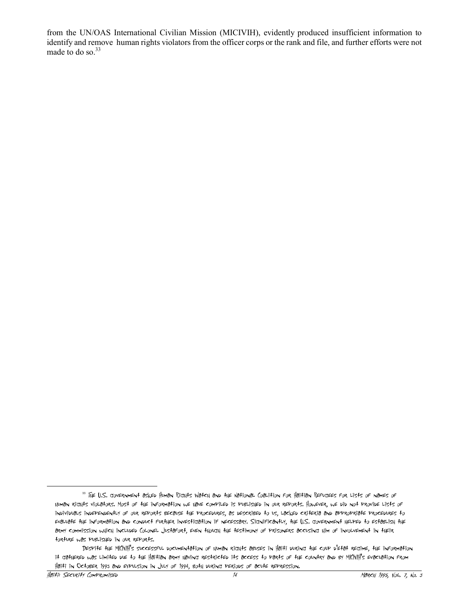from the UN/OAS International Civilian Mission (MICIVIH), evidently produced insufficient information to identify and remove human rights violators from the officer corps or the rank and file, and further efforts were not made to do so. $33$ 

<sup>33</sup> The U.S. government asked Human Rights Watch and the National Coalition for Haitian Refugees for lists of names of human rights violators. Most of the information we have compiled is published in our reports. However, we did not provide lists of individuals independently of our reports because the procedures, as described to us, lacked criteria and appropriate procedures to evaluate the information and conduct further investigation if necessary. Significantly, the U.S. government helped to establish the army commission which included Colonel Justafort, even though the testimony of prisoners accusing him of involvement in their torture was published in our reports.

Despite the MICIVIH's successful documentation of human rights abuses in Haiti during the coup d'etat regime, the information it gathered was limited due to the Haitian army having restricted its access to parts of the country and by MICIVIH's evacuation from Haiti in October 1993 and expulsion in July of 1994, both during periods of acute repression.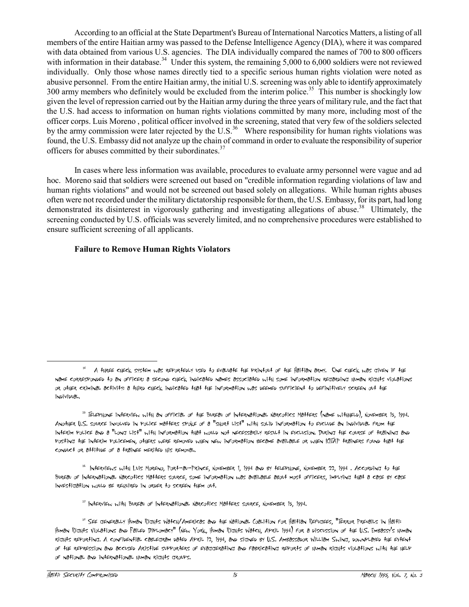According to an official at the State Department's Bureau of International Narcotics Matters, a listing of all members of the entire Haitian army was passed to the Defense Intelligence Agency (DIA), where it was compared with data obtained from various U.S. agencies. The DIA individually compared the names of 700 to 800 officers with information in their database.<sup>34</sup> Under this system, the remaining 5,000 to 6,000 soldiers were not reviewed individually. Only those whose names directly tied to a specific serious human rights violation were noted as abusive personnel. From the entire Haitian army, the initial U.S. screening was only able to identify approximately 300 army members who definitely would be excluded from the interim police.<sup>35</sup> This number is shockingly low given the level of repression carried out by the Haitian army during the three years of military rule, and the fact that the U.S. had access to information on human rights violations committed by many more, including most of the officer corps. Luis Moreno , political officer involved in the screening, stated that very few of the soldiers selected by the army commission were later rejected by the U.S.<sup>36</sup> Where responsibility for human rights violations was found, the U.S. Embassy did not analyze up the chain of command in order to evaluate the responsibility of superior officers for abuses committed by their subordinates.<sup>37</sup>

In cases where less information was available, procedures to evaluate army personnel were vague and ad hoc. Moreno said that soldiers were screened out based on "credible information regarding violations of law and human rights violations" and would not be screened out based solely on allegations. While human rights abuses often were not recorded under the military dictatorship responsible for them, the U.S. Embassy, for its part, had long demonstrated its disinterest in vigorously gathering and investigating allegations of abuse.<sup>38</sup> Ultimately, the screening conducted by U.S. officials was severely limited, and no comprehensive procedures were established to ensure sufficient screening of all applicants.

# **Failure to Remove Human Rights Violators**

<sup>&</sup>lt;sup>34</sup> A three check system was reportebly used to evaluate the printout of the Haitian army. One check was given if the name corresponded to an officer; a second check indicated names associated with some information regarding human rights violations or other criminal activity; a third check indicated that the information was deemed sufficient to definitively screen out the individual.

<sup>35</sup> Telephone interview with an official of the Bureau of International Narcotics Matters (name withheld), November 15, 1994. Another U.S. source involved in police matters spoke of a "short list" with solid information to exclude an individual from the interim police and a "long list" with information that would not necessarily result in exclusion. During the course of training and posting the interim policemen, others were removed when new information became available or when ICITAP trainers found that the conduct or attitude of a trainee merited his removal.

<sup>&</sup>lt;sup>36</sup> INterviews with Luis Moreno, Port-au-Prince, November 1, 1994 and by telePhone, November 22, 1994 . According to the Bureau of International Narcotics Matters source, some information was available about most officers, implying that a case by case investigation would be required in order to screen them out.

<sup>37</sup> Interview with Bureau of International Narcotics Matters source, November 15, 1994.

<sup>&</sup>lt;sup>38</sup> SEE GENERALLY HUMAN RIGHTS WATCH/AMERICAS AND THE NATIONAL COALITION FOR HAITIAN REFUGEES, "TERROR PREVAILS iN HAITI: Human Rights Violations and Failed Diplomacy" (New York, Human Rights Watch, April 1994) for a discussion of the U.S. Embassy's human rights reporting. A confidential cablegram dated April 12, 1994, and signed by U.S. Ambassador William Swing, downplayed the extent of the repression and accused Aristide supporters of exaggerating and fabricating reports of human rights violations with the help of national and international human rights groups.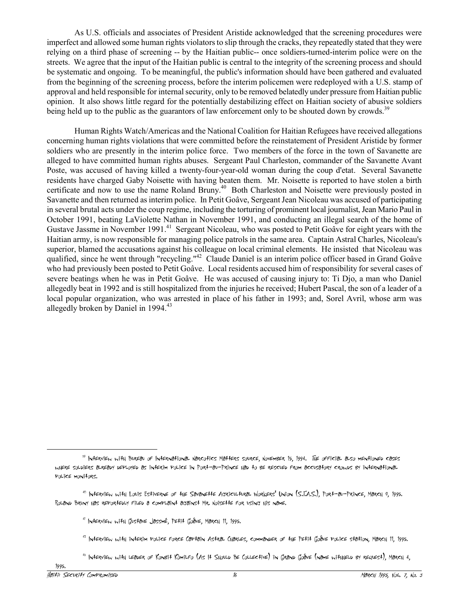As U.S. officials and associates of President Aristide acknowledged that the screening procedures were imperfect and allowed some human rights violators to slip through the cracks, they repeatedly stated that they were relying on a third phase of screening -- by the Haitian public-- once soldiers-turned-interim police were on the streets. We agree that the input of the Haitian public is central to the integrity of the screening process and should be systematic and ongoing. To be meaningful, the public's information should have been gathered and evaluated from the beginning of the screening process, before the interim policemen were redeployed with a U.S. stamp of approval and held responsible for internal security, only to be removed belatedly under pressure from Haitian public opinion. It also shows little regard for the potentially destabilizing effect on Haitian society of abusive soldiers being held up to the public as the guarantors of law enforcement only to be shouted down by crowds.<sup>39</sup>

Human Rights Watch/Americas and the National Coalition for Haitian Refugees have received allegations concerning human rights violations that were committed before the reinstatement of President Aristide by former soldiers who are presently in the interim police force. Two members of the force in the town of Savanette are alleged to have committed human rights abuses. Sergeant Paul Charleston, commander of the Savanette Avant Poste, was accused of having killed a twenty-four-year-old woman during the coup d'etat. Several Savanette residents have charged Gaby Noisette with having beaten them. Mr. Noisette is reported to have stolen a birth certificate and now to use the name Roland Bruny.<sup>40</sup> Both Charleston and Noisette were previously posted in Savanette and then returned as interim police. In Petit Goâve, Sergeant Jean Nicoleau was accused of participating in several brutal acts under the coup regime, including the torturing of prominent local journalist, Jean Mario Paul in October 1991, beating LaViolette Nathan in November 1991, and conducting an illegal search of the home of Gustave Jassme in November 1991.<sup>41</sup> Sergeant Nicoleau, who was posted to Petit Goâve for eight years with the Haitian army, is now responsible for managing police patrols in the same area. Captain Astral Charles, Nicoleau's superior, blamed the accusations against his colleague on local criminal elements. He insisted that Nicoleau was qualified, since he went through "recycling."<sup>42</sup> Claude Daniel is an interim police officer based in Grand Goâve who had previously been posted to Petit Goâve. Local residents accused him of responsibility for several cases of severe beatings when he was in Petit Goâve. He was accused of causing injury to: Ti Djo, a man who Daniel allegedly beat in 1992 and is still hospitalized from the injuries he received; Hubert Pascal, the son of a leader of a local popular organization, who was arrested in place of his father in 1993; and, Sorel Avril, whose arm was allegedly broken by Daniel in 1994.<sup>43</sup>

<sup>43</sup> INTERVIEW WITH LEADER OF KONBIT KOMILFO (AS IT SHOULD BE COLLECTIVE) IN GRAND GOÂVE (NAME WITHHELD BY REQUEST), MARCH 4,

<sup>39</sup> Interview with Bureau of International Narcotics Matters source, November 15, 1994. The official also mentioned cases where soldiers already deployed as interim police in Port-au-Prince had to be rescued from accusatory crowds by international police monitors.

<sup>40</sup> Interview with Louis Estiverne of the Savanette Agricultural Workers' Union (S.T.A.S.), Port-au-Prince, March 8, 1995. Roland Bruny has reportedly filed a complaint against Mr. Noisette for using his name.

 $41$  INTERVIEW WITH GUSTAVE JASSMÉ, PETIT GOÂVE, MARCH 11, 1995.

 $^{42}$  INTERVIEW WITH INTERIM POLICE FORCE CAPTAIN ASTRAL CHARLES, COMMANDER OF THE PETIT GOÂVE POLICE STATION, MARCH 11, 1995.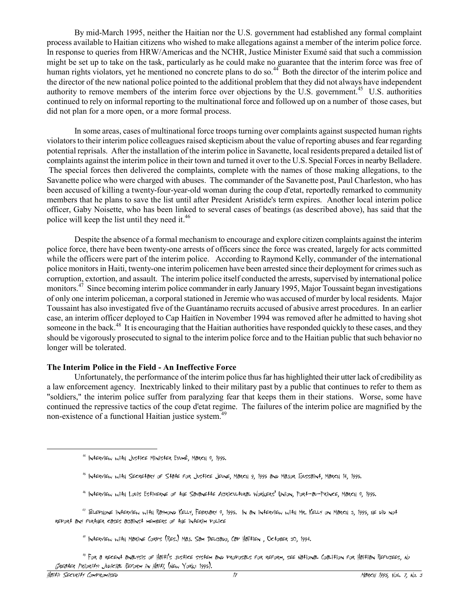By mid-March 1995, neither the Haitian nor the U.S. government had established any formal complaint process available to Haitian citizens who wished to make allegations against a member of the interim police force. In response to queries from HRW/Americas and the NCHR, Justice Minister Exumé said that such a commission might be set up to take on the task, particularly as he could make no guarantee that the interim force was free of human rights violators, yet he mentioned no concrete plans to do so.<sup>44</sup> Both the director of the interim police and the director of the new national police pointed to the additional problem that they did not always have independent authority to remove members of the interim force over objections by the U.S. government.<sup>45</sup> U.S. authorities continued to rely on informal reporting to the multinational force and followed up on a number of those cases, but did not plan for a more open, or a more formal process.

In some areas, cases of multinational force troops turning over complaints against suspected human rights violators to their interim police colleagues raised skepticism about the value of reporting abuses and fear regarding potential reprisals. After the installation of the interim police in Savanette, local residents prepared a detailed list of complaints against the interim police in their town and turned it over to the U.S. Special Forces in nearby Belladere. The special forces then delivered the complaints, complete with the names of those making allegations, to the Savanette police who were charged with abuses. The commander of the Savanette post, Paul Charleston, who has been accused of killing a twenty-four-year-old woman during the coup d'etat, reportedly remarked to community members that he plans to save the list until after President Aristide's term expires. Another local interim police officer, Gaby Noisette, who has been linked to several cases of beatings (as described above), has said that the police will keep the list until they need it. $46$ 

Despite the absence of a formal mechanism to encourage and explore citizen complaints against the interim police force, there have been twenty-one arrests of officers since the force was created, largely for acts committed while the officers were part of the interim police. According to Raymond Kelly, commander of the international police monitors in Haiti, twenty-one interim policemen have been arrested since their deployment for crimes such as corruption, extortion, and assault. The interim police itself conducted the arrests, supervised by international police monitors.<sup>47</sup> Since becoming interim police commander in early January 1995, Major Toussaint began investigations of only one interim policeman, a corporal stationed in Jeremie who was accused of murder by local residents. Major Toussaint has also investigated five of the Guantánamo recruits accused of abusive arrest procedures. In an earlier case, an interim officer deployed to Cap Haitïen in November 1994 was removed after he admitted to having shot someone in the back.<sup>48</sup> It is encouraging that the Haitian authorities have responded quickly to these cases, and they should be vigorously prosecuted to signal to the interim police force and to the Haitian public that such behavior no longer will be tolerated.

#### **The Interim Police in the Field - An Ineffective Force**

Unfortunately, the performance of the interim police thus far has highlighted their utter lack of credibility as a law enforcement agency. Inextricably linked to their military past by a public that continues to refer to them as "soldiers," the interim police suffer from paralyzing fear that keeps them in their stations. Worse, some have continued the repressive tactics of the coup d'etat regime. The failures of the interim police are magnified by the non-existence of a functional Haitian justice system.<sup>49</sup>

- <sup>45</sup> Interview with Secretary of State for Justice Jeune, March 9, 1995 and Major Toussaint, March 14, 1995.
- <sup>46</sup> Interview with Louis Estiverne of the Savanette Agricultural Workers' Union, Port-au-Prince, March 8, 1995.
- <sup>47</sup> Telephone interview with Raymond Kelly, February 8, 1995. In an interview with Mr. Kelly on March 3, 1995, he did not report any further cases against members of the interim police
	- <sup>48</sup> INTERVIEW WITH MARINE CORPS (RES.) MAJ. SAM DELGADO, CAP HAÏTIEN , OCTOBER 30, 1994.

<sup>49</sup> For a recent analysis of Haiti's justice system and proposals for reform, see National Coalition for Haitian Refugees, No Greater Priority: Judicial Reform in Haiti, (New York: 1995).

<sup>44</sup> Interview with Justice Minister ExumÈ, March 8, 1995.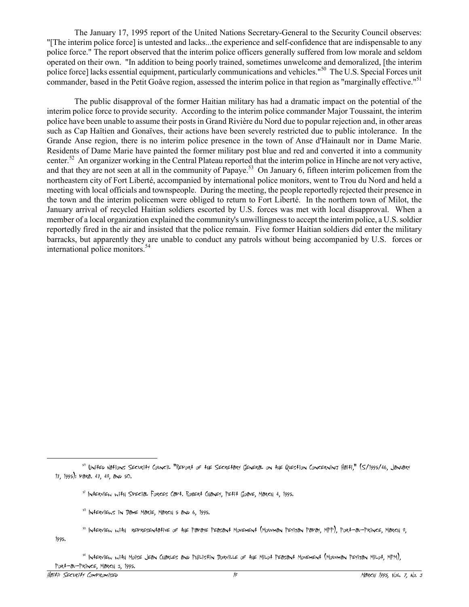The January 17, 1995 report of the United Nations Secretary-General to the Security Council observes: "[The interim police force] is untested and lacks...the experience and self-confidence that are indispensable to any police force." The report observed that the interim police officers generally suffered from low morale and seldom operated on their own. "In addition to being poorly trained, sometimes unwelcome and demoralized, [the interim police force] lacks essential equipment, particularly communications and vehicles."<sup>50</sup> The U.S. Special Forces unit commander, based in the Petit Goâve region, assessed the interim police in that region as "marginally effective."<sup>51</sup>

The public disapproval of the former Haitian military has had a dramatic impact on the potential of the interim police force to provide security. According to the interim police commander Major Toussaint, the interim police have been unable to assume their posts in Grand Rivière du Nord due to popular rejection and, in other areas such as Cap Haïtien and Gonaïves, their actions have been severely restricted due to public intolerance. In the Grande Anse region, there is no interim police presence in the town of Anse d'Hainault nor in Dame Marie. Residents of Dame Marie have painted the former military post blue and red and converted it into a community center.<sup>52</sup> An organizer working in the Central Plateau reported that the interim police in Hinche are not very active, and that they are not seen at all in the community of Papaye.<sup>53</sup> On January 6, fifteen interim policemen from the northeastern city of Fort Liberté, accompanied by international police monitors, went to Trou du Nord and held a meeting with local officials and townspeople. During the meeting, the people reportedly rejected their presence in the town and the interim policemen were obliged to return to Fort LibertÈ. In the northern town of Milot, the January arrival of recycled Haitian soldiers escorted by U.S. forces was met with local disapproval. When a member of a local organization explained the community's unwillingness to accept the interim police, a U.S. soldier reportedly fired in the air and insisted that the police remain. Five former Haitian soldiers did enter the military barracks, but apparently they are unable to conduct any patrols without being accompanied by U.S. forces or international police monitors.<sup>54</sup>

<sup>54</sup> INterview with Moise Jean Charles and Philistin Dorville of the Milot Peasant Movement (Mouvman Peyizan Milot, MPM), Port-au-Prince, March 3, 1995.

<sup>50</sup> United Nations Security Council "Report of the Secretary General on the Question Concerning Haiti," (S/1995/46, January 17, 1995); para. 47, 48, and 50.

 $51$  INterview with SPECIAL Forces CAPt. Robert Chaney, Petit Goave, March 4, 1995.

<sup>52</sup> Interviews in Dame Marie, March 5 and 6, 1995.

<sup>53</sup> Interview with representative of the Papaye Peasant Movement (Mouvman Peyizan Papay, MPP), Port-au-Prince, March 8, 1995.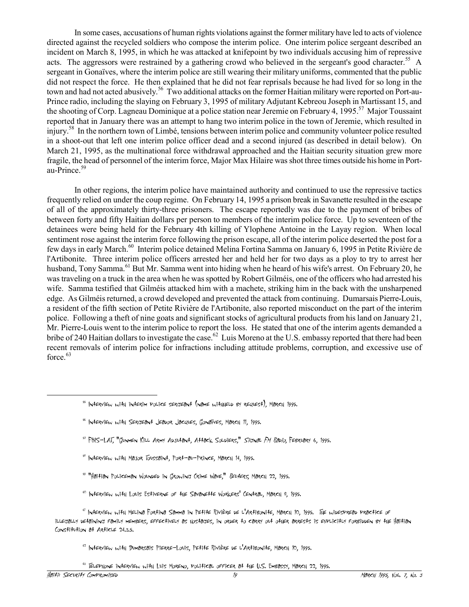In some cases, accusations of human rights violations against the former military have led to acts of violence directed against the recycled soldiers who compose the interim police. One interim police sergeant described an incident on March 8, 1995, in which he was attacked at knifepoint by two individuals accusing him of repressive acts. The aggressors were restrained by a gathering crowd who believed in the sergeant's good character.<sup>55</sup> A sergeant in Gonaïves, where the interim police are still wearing their military uniforms, commented that the public did not respect the force. He then explained that he did not fear reprisals because he had lived for so long in the town and had not acted abusively.<sup>56</sup> Two additional attacks on the former Haitian military were reported on Port-au-Prince radio, including the slaying on February 3, 1995 of military Adjutant Kebreou Joseph in Martissant 15, and the shooting of Corp. Lagneau Dominique at a police station near Jeremie on February 4, 1995.<sup>57</sup> Major Toussaint reported that in January there was an attempt to hang two interim police in the town of Jeremie, which resulted in injury.<sup>58</sup> In the northern town of Limbé, tensions between interim police and community volunteer police resulted in a shoot-out that left one interim police officer dead and a second injured (as described in detail below). On March 21, 1995, as the multinational force withdrawal approached and the Haitian security situation grew more fragile, the head of personnel of the interim force, Major Max Hilaire was shot three times outside his home in Portau-Prince.<sup>59</sup>

In other regions, the interim police have maintained authority and continued to use the repressive tactics frequently relied on under the coup regime. On February 14, 1995 a prison break in Savanette resulted in the escape of all of the approximately thirty-three prisoners. The escape reportedly was due to the payment of bribes of between forty and fifty Haitian dollars per person to members of the interim police force. Up to seventeen of the detainees were being held for the February 4th killing of Ylophene Antoine in the Layay region. When local sentiment rose against the interim force following the prison escape, all of the interim police deserted the post for a few days in early March.<sup>60</sup> Interim police detained Melina Fortina Samma on January 6, 1995 in Petite Rivière de l'Artibonite. Three interim police officers arrested her and held her for two days as a ploy to try to arrest her husband, Tony Samma.<sup>61</sup> But Mr. Samma went into hiding when he heard of his wife's arrest. On February 20, he was traveling on a truck in the area when he was spotted by Robert Gilméis, one of the officers who had arrested his wife. Samma testified that Gilméis attacked him with a machete, striking him in the back with the unsharpened edge. As GilmÈis returned, a crowd developed and prevented the attack from continuing. Dumarsais Pierre-Louis, a resident of the fifth section of Petite RiviËre de l'Artibonite, also reported misconduct on the part of the interim police. Following a theft of nine goats and significant stocks of agricultural products from his land on January 21, Mr. Pierre-Louis went to the interim police to report the loss. He stated that one of the interim agents demanded a bribe of 240 Haitian dollars to investigate the case.<sup>62</sup> Luis Moreno at the U.S. embassy reported that there had been recent removals of interim police for infractions including attitude problems, corruption, and excessive use of force.<sup>63</sup>

- <sup>59</sup> "Haitian Policeman Wounded in Growing Crime Wave," Reufers, March 22, 1995.
- <sup>60</sup> Interview with Louis Estiverne of the Savanette Workers' Central, March 8, 1995.

<sup>62</sup> Interview with Dumarsais Pierre-Louis, Petite RiviËre de l'Artibonite, March 10, 1995.

 $^{55}$  INTERVIEW WITH INTERIM POLICE SERGEANT (NAME WITHHELD BY REQUEST), MARCH 1995.

<sup>&</sup>lt;sup>56</sup> INTERVIEW WITH SERGEANT JEADOR JACQUES, GONAÏVES, MARCH 11, 1995.

<sup>&</sup>lt;sup>57</sup> FBIS-LAT, "GUNMEN KILL ARMY ADJUłaNł, Ałłack Soldiers," *Signal FM Radio*, February 6, 1995.

<sup>58</sup> Interview with Major Toussaint, Port-au-Prince, March 14, 1995.

<sup>61</sup> Interview with Melina Fortina Samma in Petite RiviËre de l'Artibonite, March 10, 1995. The widespread practice of illegally detaining family members, effectively as hostages, in order to carry out other arrests is explicitly forbidden by the Haitian Constitution at Article 24.3.5.

<sup>63</sup> Telephone interview with Luis Moreno, political officer at the U.S. Embassy, March 22, 1995.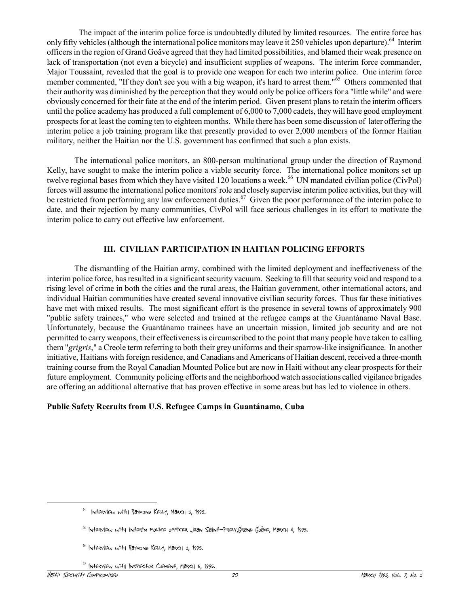The impact of the interim police force is undoubtedly diluted by limited resources. The entire force has only fifty vehicles (although the international police monitors may leave it 250 vehicles upon departure).<sup>64</sup> Interim officers in the region of Grand Go've agreed that they had limited possibilities, and blamed their weak presence on lack of transportation (not even a bicycle) and insufficient supplies of weapons. The interim force commander, Major Toussaint, revealed that the goal is to provide one weapon for each two interim police. One interim force member commented, "If they don't see you with a big weapon, it's hard to arrest them."<sup>65</sup> Others commented that their authority was diminished by the perception that they would only be police officers for a "little while" and were obviously concerned for their fate at the end of the interim period. Given present plans to retain the interim officers until the police academy has produced a full complement of 6,000 to 7,000 cadets, they will have good employment prospects for at least the coming ten to eighteen months. While there has been some discussion of later offering the interim police a job training program like that presently provided to over 2,000 members of the former Haitian military, neither the Haitian nor the U.S. government has confirmed that such a plan exists.

The international police monitors, an 800-person multinational group under the direction of Raymond Kelly, have sought to make the interim police a viable security force. The international police monitors set up twelve regional bases from which they have visited 120 locations a week.<sup>66</sup> UN mandated civilian police (CivPol) forces will assume the international police monitors' role and closely supervise interim police activities, but they will be restricted from performing any law enforcement duties.<sup>67</sup> Given the poor performance of the interim police to date, and their rejection by many communities, CivPol will face serious challenges in its effort to motivate the interim police to carry out effective law enforcement.

# **III. CIVILIAN PARTICIPATION IN HAITIAN POLICING EFFORTS**

The dismantling of the Haitian army, combined with the limited deployment and ineffectiveness of the interim police force, has resulted in a significant security vacuum. Seeking to fill that security void and respond to a rising level of crime in both the cities and the rural areas, the Haitian government, other international actors, and individual Haitian communities have created several innovative civilian security forces. Thus far these initiatives have met with mixed results. The most significant effort is the presence in several towns of approximately 900 "public safety trainees," who were selected and trained at the refugee camps at the Guantánamo Naval Base. Unfortunately, because the Guantánamo trainees have an uncertain mission, limited job security and are not permitted to carry weapons, their effectiveness is circumscribed to the point that many people have taken to calling them "*grigris*," a Creole term referring to both their grey uniforms and their sparrow-like insignificance. In another initiative, Haitians with foreign residence, and Canadians and Americans of Haitian descent, received a three-month training course from the Royal Canadian Mounted Police but are now in Haiti without any clear prospects for their future employment. Community policing efforts and the neighborhood watch associations called vigilance brigades are offering an additional alternative that has proven effective in some areas but has led to violence in others.

## **Public Safety Recruits from U.S. Refugee Camps in Guantánamo, Cuba**

<sup>67</sup> Interview with Inspector Clement, March 6, 1995.

<sup>64</sup> Interview with Raymond Kelly, March 3, 1995.

<sup>&</sup>lt;sup>65</sup> INTERVIEW WITH INTERIM POLICE OFFICER JEAN SAINT-PREW,GRAND GOÂVE, MARCH 4, 1995.

<sup>66</sup> Interview with Raymond Kelly, March 3, 1995.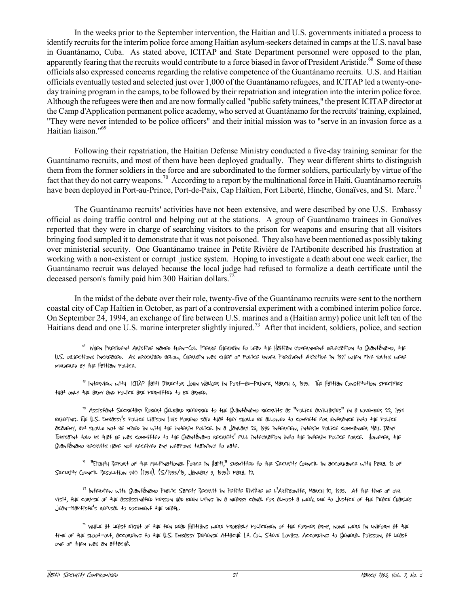In the weeks prior to the September intervention, the Haitian and U.S. governments initiated a process to identify recruits for the interim police force among Haitian asylum-seekers detained in camps at the U.S. naval base in Guantánamo, Cuba. As stated above, ICITAP and State Department personnel were opposed to the plan, apparently fearing that the recruits would contribute to a force biased in favor of President Aristide.<sup>68</sup> Some of these officials also expressed concerns regarding the relative competence of the Guantánamo recruits. U.S. and Haitian officials eventually tested and selected just over 1,000 of the Guantánamo refugees, and ICITAP led a twenty-oneday training program in the camps, to be followed by their repatriation and integration into the interim police force. Although the refugees were then and are now formally called "public safety trainees," the present ICITAP director at the Camp d'Application permanent police academy, who served at Guantánamo for the recruits' training, explained, "They were never intended to be police officers" and their initial mission was to "serve in an invasion force as a Haitian liaison."<sup>69</sup>

Following their repatriation, the Haitian Defense Ministry conducted a five-day training seminar for the Guantánamo recruits, and most of them have been deployed gradually. They wear different shirts to distinguish them from the former soldiers in the force and are subordinated to the former soldiers, particularly by virtue of the fact that they do not carry weapons.<sup>70</sup> According to a report by the multinational force in Haiti, Guantánamo recruits have been deployed in Port-au-Prince, Port-de-Paix, Cap Haïtien, Fort Liberté, Hinche, Gonaïves, and St. Marc.<sup>71</sup>

The Guantánamo recruits' activities have not been extensive, and were described by one U.S. Embassy official as doing traffic control and helping out at the stations. A group of Guantánamo trainees in Gonaïves reported that they were in charge of searching visitors to the prison for weapons and ensuring that all visitors bringing food sampled it to demonstrate that it was not poisoned. They also have been mentioned as possibly taking over ministerial security. One Guantánamo trainee in Petite Rivière de l'Artibonite described his frustration at working with a non-existent or corrupt justice system. Hoping to investigate a death about one week earlier, the Guantánamo recruit was delayed because the local judge had refused to formalize a death certificate until the deceased person's family paid him 300 Haitian dollars.<sup>72</sup>

In the midst of the debate over their role, twenty-five of the Guantánamo recruits were sent to the northern coastal city of Cap Haïtien in October, as part of a controversial experiment with a combined interim police force. On September 24, 1994, an exchange of fire between U.S. marines and a (Haitian army) police unit left ten of the Haitians dead and one U.S. marine interpreter slightly injured.<sup>73</sup> After that incident, soldiers, police, and section

<sup>69</sup> Interview with ICITAP Haiti Director John Walker in Port-au-Prince, March 6, 1995. The Haitian Constitution specifies that only the army and police are permitted to be armed.

 $^{70}$  Assistant Secretary Robert Gelbard referred to the Guantánamo recruits as "Police auxiliaries" in a November 22, 1994 briefing. The U.S. Embassy's police liaison Luis Moreno said that they should be allowed to compete for entrance into the police academy, but should not be mixed in with the interim police. In a January 25, 1995 interview, interim police commander Maj. Dany Toussaint told us that he was committed to the Guantánamo recruits' full integration into the interim Police force. However, the GUANTÁNAMO RECRUITS HAVE NOT RECEIVED ANY WEAPONS TRAINING TO DATE.

<sup>71</sup> "Eighth Report of the Multinational Force in Haiti," submitted to the Security Council in accordance with Para. 13 of Security Council Resolution 940 (1994). (S/1995/15, January 9, 1995); para. 12.

 $^{72}$  INTERVIEW WITH GUONTÓNOMO PUBLIC SOFETY RECRUIT IN PETITE RIVIÈRE DE L'ARTIBONITE, MORCH 10, 1995. AT THE TIME OF OUR visit, the corpse of the assassinated person had been lying in a nearby canal for almost a week due to Justice of the Peace Charles Jean-Baptiste's refusal to document the death.

<sup>&</sup>lt;sup>68</sup> WHEN PRESIDENT ARISTIDE NAMED THEN-COL. PIERRE CHERUBIN TO LEAD THE HAITIAN GOVERNMENT DELEGATION TO GUANTÁNAMO, THE U.S. objections increased. As described below, Cherubin was chief of police under President Aristide in 1991 when five youths were murdered by the Haitian police.

<sup>73</sup> While at least eight of the ten dead Haitians were probably policemen of the former army, none were in uniform at the time of the shoot-out, according to the U.S. Embassy Defense AttachÈ Lt. Col. Steve Lovasz. According to General Poisson, at least one of them was an attachÈ.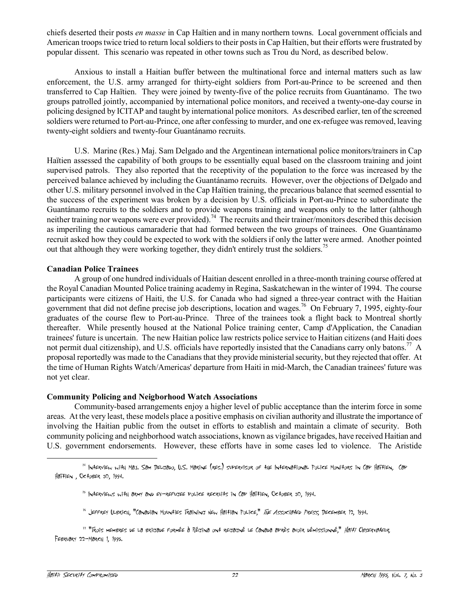chiefs deserted their posts *en masse* in Cap Haïtien and in many northern towns. Local government officials and American troops twice tried to return local soldiers to their posts in Cap Haïtien, but their efforts were frustrated by popular dissent. This scenario was repeated in other towns such as Trou du Nord, as described below.

Anxious to install a Haitian buffer between the multinational force and internal matters such as law enforcement, the U.S. army arranged for thirty-eight soldiers from Port-au-Prince to be screened and then transferred to Cap Haïtien. They were joined by twenty-five of the police recruits from Guantánamo. The two groups patrolled jointly, accompanied by international police monitors, and received a twenty-one-day course in policing designed by ICITAP and taught by international police monitors. As described earlier, ten of the screened soldiers were returned to Port-au-Prince, one after confessing to murder, and one ex-refugee was removed, leaving twenty-eight soldiers and twenty-four Guantánamo recruits.

U.S. Marine (Res.) Maj. Sam Delgado and the Argentinean international police monitors/trainers in Cap Haïtien assessed the capability of both groups to be essentially equal based on the classroom training and joint supervised patrols. They also reported that the receptivity of the population to the force was increased by the perceived balance achieved by including the Guantánamo recruits. However, over the objections of Delgado and other U.S. military personnel involved in the Cap Haïtien training, the precarious balance that seemed essential to the success of the experiment was broken by a decision by U.S. officials in Port-au-Prince to subordinate the Guantánamo recruits to the soldiers and to provide weapons training and weapons only to the latter (although neither training nor weapons were ever provided).<sup>74</sup> The recruits and their trainer/monitors described this decision as imperiling the cautious camaraderie that had formed between the two groups of trainees. One Guantánamo recruit asked how they could be expected to work with the soldiers if only the latter were armed. Another pointed out that although they were working together, they didn't entirely trust the soldiers.<sup>75</sup>

## **Canadian Police Trainees**

A group of one hundred individuals of Haitian descent enrolled in a three-month training course offered at the Royal Canadian Mounted Police training academy in Regina, Saskatchewan in the winter of 1994. The course participants were citizens of Haiti, the U.S. for Canada who had signed a three-year contract with the Haitian government that did not define precise job descriptions, location and wages.<sup>76</sup> On February 7, 1995, eighty-four graduates of the course flew to Port-au-Prince. Three of the trainees took a flight back to Montreal shortly thereafter. While presently housed at the National Police training center, Camp d'Application, the Canadian trainees' future is uncertain. The new Haitian police law restricts police service to Haitian citizens (and Haiti does not permit dual citizenship), and U.S. officials have reportedly insisted that the Canadians carry only batons.<sup>77</sup> A proposal reportedly was made to the Canadians that they provide ministerial security, but they rejected that offer. At the time of Human Rights Watch/Americas' departure from Haiti in mid-March, the Canadian trainees' future was not yet clear.

## **Community Policing and Neigborhood Watch Associations**

Community-based arrangements enjoy a higher level of public acceptance than the interim force in some areas. At the very least, these models place a positive emphasis on civilian authority and illustrate the importance of involving the Haitian public from the outset in efforts to establish and maintain a climate of security. Both community policing and neighborhood watch associations, known as vigilance brigades, have received Haitian and U.S. government endorsements. However, these efforts have in some cases led to violence. The Aristide

 $^{74}$  INterview with Maj. Sam Delgabo, U.S. Marine (res.) supervisor of the INternational Police Monitors in Cap Haïtien, Cap  $Ha^2f^2en$ , October 30, 1994.

 $75$  INTERVIEWS WITH ARMY AND EX-REFUGEE POLICE RECRUITS IN CAP HAITIEN, OCTOBER 30, 1994.

 $^{76}$  Jeffrey Ulbrich, "Canadian Mounties Training New Haitian Police," *The Associated Press*, December 12, 1994.

<sup>&</sup>lt;sup>77 "</sup>Trois membres de La brigade Formée à Régina ont regagné Le Canada après avoir démissionné," *Haiti Observateur*, February 22-March 1, 1995.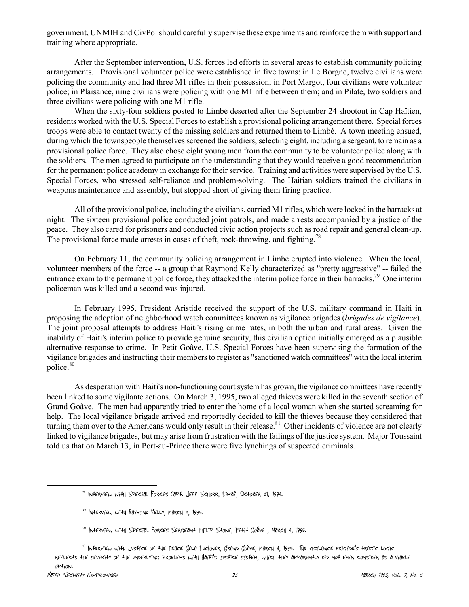government, UNMIH and CivPol should carefully supervise these experiments and reinforce them with support and training where appropriate.

After the September intervention, U.S. forces led efforts in several areas to establish community policing arrangements. Provisional volunteer police were established in five towns: in Le Borgne, twelve civilians were policing the community and had three M1 rifles in their possession; in Port Margot, four civilians were volunteer police; in Plaisance, nine civilians were policing with one M1 rifle between them; and in Pilate, two soldiers and three civilians were policing with one M1 rifle.

When the sixty-four soldiers posted to Limbé deserted after the September 24 shootout in Cap Haïtien, residents worked with the U.S. Special Forces to establish a provisional policing arrangement there. Special forces troops were able to contact twenty of the missing soldiers and returned them to LimbÈ. A town meeting ensued, during which the townspeople themselves screened the soldiers, selecting eight, including a sergeant, to remain as a provisional police force. They also chose eight young men from the community to be volunteer police along with the soldiers. The men agreed to participate on the understanding that they would receive a good recommendation for the permanent police academy in exchange for their service. Training and activities were supervised by the U.S. Special Forces, who stressed self-reliance and problem-solving. The Haitian soldiers trained the civilians in weapons maintenance and assembly, but stopped short of giving them firing practice.

All of the provisional police, including the civilians, carried M1 rifles, which were locked in the barracks at night. The sixteen provisional police conducted joint patrols, and made arrests accompanied by a justice of the peace. They also cared for prisoners and conducted civic action projects such as road repair and general clean-up. The provisional force made arrests in cases of theft, rock-throwing, and fighting.<sup>78</sup>

On February 11, the community policing arrangement in Limbe erupted into violence. When the local, volunteer members of the force -- a group that Raymond Kelly characterized as "pretty aggressive" -- failed the entrance exam to the permanent police force, they attacked the interim police force in their barracks.<sup>79</sup> One interim policeman was killed and a second was injured.

In February 1995, President Aristide received the support of the U.S. military command in Haiti in proposing the adoption of neighborhood watch committees known as vigilance brigades (*brigades de vigilance*). The joint proposal attempts to address Haiti's rising crime rates, in both the urban and rural areas. Given the inability of Haiti's interim police to provide genuine security, this civilian option initially emerged as a plausible alternative response to crime. In Petit Goâve, U.S. Special Forces have been supervising the formation of the vigilance brigades and instructing their members to register as "sanctioned watch committees" with the local interim police.<sup>80</sup>

As desperation with Haiti's non-functioning court system has grown, the vigilance committees have recently been linked to some vigilante actions. On March 3, 1995, two alleged thieves were killed in the seventh section of Grand Goâve. The men had apparently tried to enter the home of a local woman when she started screaming for help. The local vigilance brigade arrived and reportedly decided to kill the thieves because they considered that turning them over to the Americans would only result in their release.<sup>81</sup> Other incidents of violence are not clearly linked to vigilance brigades, but may arise from frustration with the failings of the justice system. Major Toussaint told us that on March 13, in Port-au-Prince there were five lynchings of suspected criminals.

<sup>78</sup> Interview with Special Forces Capt. Jeff Schorr, LimbÈ, October 31, 1994.

 $79$  INTERVIEW WITH RAYMOND KELLY, MARCH 3, 1995.

 $^{\circ\circ}$  Interview with Special Forces Sergeant Philip Stone, Petit Goave, March 4, 1995.

<sup>&</sup>lt;sup>91</sup> INterview with Justice of the Peace Gala Luckner, Grand Goâve, March 4, 1995. The vigilance brigade's tragic Logic reflects the severity of the underlying problems with Haiti's justice system, which they apparently did not even consider as a viable option.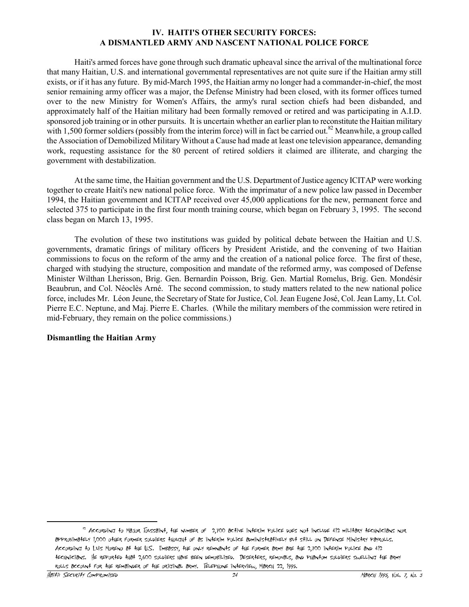## **IV. HAITI'S OTHER SECURITY FORCES: A DISMANTLED ARMY AND NASCENT NATIONAL POLICE FORCE**

Haiti's armed forces have gone through such dramatic upheaval since the arrival of the multinational force that many Haitian, U.S. and international governmental representatives are not quite sure if the Haitian army still exists, or if it has any future. By mid-March 1995, the Haitian army no longer had a commander-in-chief, the most senior remaining army officer was a major, the Defense Ministry had been closed, with its former offices turned over to the new Ministry for Women's Affairs, the army's rural section chiefs had been disbanded, and approximately half of the Haitian military had been formally removed or retired and was participating in A.I.D. sponsored job training or in other pursuits. It is uncertain whether an earlier plan to reconstitute the Haitian military with 1,500 former soldiers (possibly from the interim force) will in fact be carried out.<sup>82</sup> Meanwhile, a group called the Association of Demobilized Military Without a Cause had made at least one television appearance, demanding work, requesting assistance for the 80 percent of retired soldiers it claimed are illiterate, and charging the government with destabilization.

At the same time, the Haitian government and the U.S. Department of Justice agency ICITAP were working together to create Haiti's new national police force. With the imprimatur of a new police law passed in December 1994, the Haitian government and ICITAP received over 45,000 applications for the new, permanent force and selected 375 to participate in the first four month training course, which began on February 3, 1995. The second class began on March 13, 1995.

The evolution of these two institutions was guided by political debate between the Haitian and U.S. governments, dramatic firings of military officers by President Aristide, and the convening of two Haitian commissions to focus on the reform of the army and the creation of a national police force. The first of these, charged with studying the structure, composition and mandate of the reformed army, was composed of Defense Minister Wilthan Lherisson, Brig. Gen. Bernardin Poisson, Brig. Gen. Martial Romelus, Brig. Gen. Mondésir Beaubrun, and Col. Néoclès Arné. The second commission, to study matters related to the new national police force, includes Mr. Léon Jeune, the Secretary of State for Justice, Col. Jean Eugene José, Col. Jean Lamy, Lt. Col. Pierre E.C. Neptune, and Maj. Pierre E. Charles. (While the military members of the commission were retired in mid-February, they remain on the police commissions.)

#### **Dismantling the Haitian Army**

<sup>82</sup> According to Major Toussaint, the number of 2,700 active interim police does not include 412 military technicians nor approximately 1,000 other former soldiers thought of as interim police administratively but still on Defense Ministry payrolls. According to Luis Moreno at the U.S. Embassy, the only remnants of the former army are the 2,700 interim police and 412 technicians. He reported that 2,600 soldiers have been demobilized. Deserters, removals, and phantom soldiers swelling the army rolls account for the remainder of the original army. Telephone interview, March 22, 1995.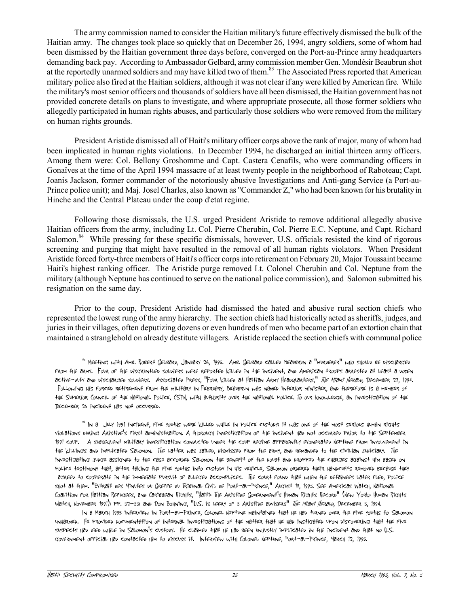The army commission named to consider the Haitian military's future effectively dismissed the bulk of the Haitian army. The changes took place so quickly that on December 26, 1994, angry soldiers, some of whom had been dismissed by the Haitian government three days before, converged on the Port-au-Prince army headquarters demanding back pay. According to Ambassador Gelbard, army commission member Gen. Mondésir Beaubrun shot at the reportedly unarmed soldiers and may have killed two of them.<sup>83</sup> The Associated Press reported that American military police also fired at the Haitian soldiers, although it was not clear if any were killed by American fire. While the military's most senior officers and thousands of soldiers have all been dismissed, the Haitian government has not provided concrete details on plans to investigate, and where appropriate prosecute, all those former soldiers who allegedly participated in human rights abuses, and particularly those soldiers who were removed from the military on human rights grounds.

President Aristide dismissed all of Haiti's military officer corps above the rank of major, many of whom had been implicated in human rights violations. In December 1994, he discharged an initial thirteen army officers. Among them were: Col. Bellony Groshomme and Capt. Castera Cenafils, who were commanding officers in Gonaïves at the time of the April 1994 massacre of at least twenty people in the neighborhood of Raboteau; Capt. Joanis Jackson, former commander of the notoriously abusive Investigations and Anti-gang Service (a Port-au-Prince police unit); and Maj. Josel Charles, also known as "Commander Z," who had been known for his brutality in Hinche and the Central Plateau under the coup d'etat regime.

Following those dismissals, the U.S. urged President Aristide to remove additional allegedly abusive Haitian officers from the army, including Lt. Col. Pierre Cherubin, Col. Pierre E.C. Neptune, and Capt. Richard Salomon.<sup>84</sup> While pressing for these specific dismissals, however, U.S. officials resisted the kind of rigorous screening and purging that might have resulted in the removal of all human rights violators. When President Aristide forced forty-three members of Haiti's officer corps into retirement on February 20, Major Toussaint became Haiti's highest ranking officer. The Aristide purge removed Lt. Colonel Cherubin and Col. Neptune from the military (although Neptune has continued to serve on the national police commission), and Salomon submitted his resignation on the same day.

Prior to the coup, President Aristide had dismissed the hated and abusive rural section chiefs who represented the lowest rung of the army hierarchy. The section chiefs had historically acted as sheriffs, judges, and juries in their villages, often deputizing dozens or even hundreds of men who became part of an extortion chain that maintained a stranglehold on already destitute villagers. Aristide replaced the section chiefs with communal police

<sup>84</sup> In a July 1991 incident, five youths were killed while in Police custody; it was one of the most serious human rights violations during Aristide's first administration. A thorough investigation of the incident had not occurred prior to the September 1991 coup. A subsequent military investigation conducted under the coup regime apparently exonerated Neptune from involvement in the killings and implicated Salomon. The latter was jailed, dismissed from the army, and remanded to the civilian judiciary. The investigating judge assigned to the case accorded Salomon the benefit of the doubt and dropped the charges against him based on police testimony that, after taking the five youths into custody in his vehicle, Salomon ordered their handcuffs removed because they agreed to cooperate in the immediate pursuit of alleged accomplices. The court found that when the detainees later fled, police shot at them. "Extrait des Minutes du Greffe du Tribunal Civil de Port-au-Prince," August 18, 1993. See Americas Watch, National Coalition for Haitian Refugees, and Caribbean Rights, "Haiti: The Aristide Government's Human Rights Record" (New York: Human Rights Watch, November 1991); PP. 32-33; and Don Bohning, "U.S. is LEERY of 3 Aristide advisers" The Miami Herald, December 3, 1994.

In a March 1995 interview in Port-au-Prince, Colonel Neptune maintained that he had turned over the five youths to Salomon unharmed. He provided documentation of internal investigations of the matter that he had instigated upon discovering that the five suspects had died while in Salomon's custody. He claimed that he had been unjustly implicated in the incident and that no U.S. government official had contacted him to discuss it. Interview with Colonel Neptune, Port-au-Prince, March 12, 1995.

<sup>83</sup> Meeting with Amb. Robert Gelbard, January 26, 1995. Amb. Gelbard called Beaubrun a "murderer" who should be discharged from the army. Four of the disgruntled soldiers were reported killed in the incident, and American troops arrested at least a dozen active-duty and discharged soldiers. Associated Press, "Four killed at Haitian Army Headquarters," The Miami Herald, December 27, 1994. Following his forced retirement from the military in February, Beaubrun was named interior minister, and therefore is a member of the Superior Council of the National Police, CSPN, with authority over the national police. To our knowledge, an investigation of the December 26 incident has not occurred.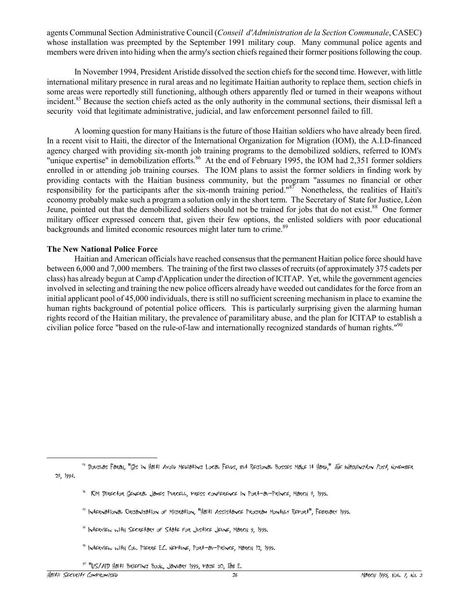agents Communal Section Administrative Council (*Conseil d'Administration de la Section Communale*, CASEC) whose installation was preempted by the September 1991 military coup. Many communal police agents and members were driven into hiding when the army's section chiefs regained their former positions following the coup.

In November 1994, President Aristide dissolved the section chiefs for the second time. However, with little international military presence in rural areas and no legitimate Haitian authority to replace them, section chiefs in some areas were reportedly still functioning, although others apparently fled or turned in their weapons without incident.<sup>85</sup> Because the section chiefs acted as the only authority in the communal sections, their dismissal left a security void that legitimate administrative, judicial, and law enforcement personnel failed to fill.

A looming question for many Haitians is the future of those Haitian soldiers who have already been fired. In a recent visit to Haiti, the director of the International Organization for Migration (IOM), the A.I.D-financed agency charged with providing six-month job training programs to the demobilized soldiers, referred to IOM's "unique expertise" in demobilization efforts.<sup>86</sup> At the end of February 1995, the IOM had 2,351 former soldiers enrolled in or attending job training courses. The IOM plans to assist the former soldiers in finding work by providing contacts with the Haitian business community, but the program "assumes no financial or other responsibility for the participants after the six-month training period." $87$  Nonetheless, the realities of Haiti's economy probably make such a program a solution only in the short term. The Secretary of State for Justice, Léon Jeune, pointed out that the demobilized soldiers should not be trained for jobs that do not exist.<sup>88</sup> One former military officer expressed concern that, given their few options, the enlisted soldiers with poor educational backgrounds and limited economic resources might later turn to crime.<sup>89</sup>

### **The New National Police Force**

Haitian and American officials have reached consensus that the permanent Haitian police force should have between 6,000 and 7,000 members. The training of the first two classes of recruits (of approximately 375 cadets per class) has already begun at Camp d'Application under the direction of ICITAP. Yet, while the government agencies involved in selecting and training the new police officers already have weeded out candidates for the force from an initial applicant pool of 45,000 individuals, there is still no sufficient screening mechanism in place to examine the human rights background of potential police officers. This is particularly surprising given the alarming human rights record of the Haitian military, the prevalence of paramilitary abuse, and the plan for ICITAP to establish a civilian police force "based on the rule-of-law and internationally recognized standards of human rights."<sup>90</sup>

<sup>95</sup> DougLas Farah, "GIs in Haiti Avoid Mediating Local Feuds, but Regional Bosses Make it Hard." *The Washington Post*, November 28, 1994.

<sup>86</sup> IOM Director General James Purcell, press conference in Port-au-Prince, March 8, 1995.

<sup>87</sup> International Organization of Migration, "Haiti Assistance Program Monthly Report", February 1995.

<sup>88</sup> Interview with Secretary of State for Justice Jeune, March 9, 1995.

<sup>89</sup> Interview with Col. Pierre E.C. Neptune, Port-au-Prince, March 12, 1995.

<sup>90</sup> "US/AID Haiti Briefing Book, January 1995, page 30, Tab E.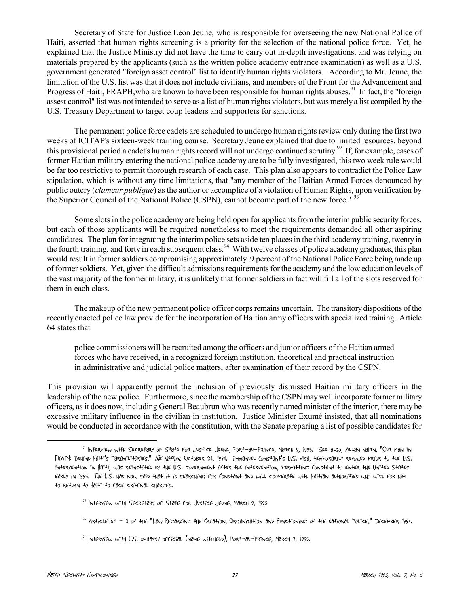Secretary of State for Justice Léon Jeune, who is responsible for overseeing the new National Police of Haiti, asserted that human rights screening is a priority for the selection of the national police force. Yet, he explained that the Justice Ministry did not have the time to carry out in-depth investigations, and was relying on materials prepared by the applicants (such as the written police academy entrance examination) as well as a U.S. government generated "foreign asset control" list to identify human rights violators. According to Mr. Jeune, the limitation of the U.S. list was that it does not include civilians, and members of the Front for the Advancement and Progress of Haiti, FRAPH, who are known to have been responsible for human rights abuses.<sup>91</sup> In fact, the "foreign assest control" list was not intended to serve as a list of human rights violators, but was merely a list compiled by the U.S. Treasury Department to target coup leaders and supporters for sanctions.

The permanent police force cadets are scheduled to undergo human rights review only during the first two weeks of ICITAP's sixteen-week training course. Secretary Jeune explained that due to limited resources, beyond this provisional period a cadet's human rights record will not undergo continued scrutiny.<sup>92</sup> If, for example, cases of former Haitian military entering the national police academy are to be fully investigated, this two week rule would be far too restrictive to permit thorough research of each case. This plan also appears to contradict the Police Law stipulation, which is without any time limitations, that "any member of the Haitian Armed Forces denounced by public outcry (*clameur publique*) as the author or accomplice of a violation of Human Rights, upon verification by the Superior Council of the National Police (CSPN), cannot become part of the new force." <sup>93</sup>

Some slots in the police academy are being held open for applicants from the interim public security forces, but each of those applicants will be required nonetheless to meet the requirements demanded all other aspiring candidates. The plan for integrating the interim police sets aside ten places in the third academy training, twenty in the fourth training, and forty in each subsequent class.<sup>94</sup> With twelve classes of police academy graduates, this plan would result in former soldiers compromising approximately 9 percent of the National Police Force being made up of former soldiers. Yet, given the difficult admissions requirements for the academy and the low education levels of the vast majority of the former military, it is unlikely that former soldiers in fact will fill all of the slots reserved for them in each class.

The makeup of the new permanent police officer corps remains uncertain. The transitory dispositions of the recently enacted police law provide for the incorporation of Haitian army officers with specialized training. Article 64 states that

police commissioners will be recruited among the officers and junior officers of the Haitian armed forces who have received, in a recognized foreign institution, theoretical and practical instruction in administrative and judicial police matters, after examination of their record by the CSPN.

This provision will apparently permit the inclusion of previously dismissed Haitian military officers in the leadership of the new police. Furthermore, since the membership of the CSPN may well incorporate former military officers, as it does now, including General Beaubrun who was recently named minister of the interior, there may be excessive military influence in the civilian in institution. Justice Minister Exumé insisted, that all nominations would be conducted in accordance with the constitution, with the Senate preparing a list of possible candidates for

- $92$  INTERVIEW WITH SECRETARY OF STATE FOR JUSTICE JEUNE, MARCH 9, 1995
- <sup>93</sup> Article 64 2 of the "Law Regarding the Creation, Organization and Functioning of the National Police," December 1994.
- $94$  INTERVIEW WITH U.S. EMBASSY OFFICIAL (NAME WITHHELD), PORT-AU-PRINCE, MARCH 7, 1995.

<sup>91</sup> Interview with Secretary of State for Justice Jeune, Port-au-Prince, March 9, 1995. See also, Allan Nairn, "Our Man in FRAPH: Behind Haiti's Paramilitaries," The Nation, October 24, 1994. Emmanuel Constant's U.S. visa, temporarily revoked prior to the U.S. intervention in Haiti, was reinstated by the U.S. government after the intervention, permitting Constant to enter the United States early in 1995. The U.S. has now said that it is searching for Constant and will cooperate with Haitian authorities who wish for him to return to Haiti to face criminal charges.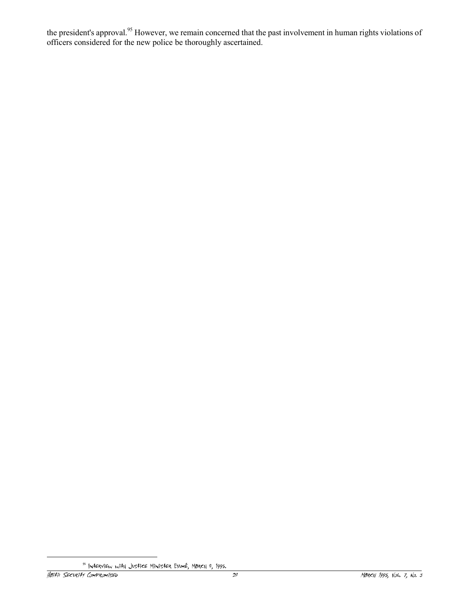the president's approval.<sup>95</sup> However, we remain concerned that the past involvement in human rights violations of officers considered for the new police be thoroughly ascertained.

<sup>95</sup> Interview with Justice Minister ExumÈ, March 8, 1995.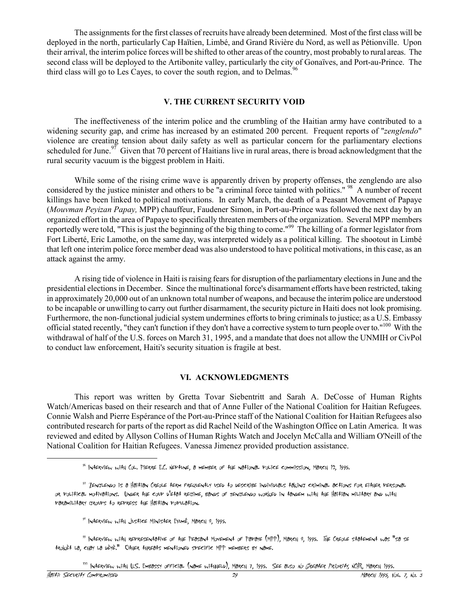The assignments for the first classes of recruits have already been determined. Most of the first class will be deployed in the north, particularly Cap Haïtien, Limbé, and Grand Rivière du Nord, as well as Pétionville. Upon their arrival, the interim police forces will be shifted to other areas of the country, most probably to rural areas. The second class will be deployed to the Artibonite valley, particularly the city of Gonaïves, and Port-au-Prince. The third class will go to Les Cayes, to cover the south region, and to Delmas.  $96$ 

## **V. THE CURRENT SECURITY VOID**

The ineffectiveness of the interim police and the crumbling of the Haitian army have contributed to a widening security gap, and crime has increased by an estimated 200 percent. Frequent reports of "*zenglendo*" violence are creating tension about daily safety as well as particular concern for the parliamentary elections scheduled for June.<sup>97</sup> Given that 70 percent of Haitians live in rural areas, there is broad acknowledgment that the rural security vacuum is the biggest problem in Haiti.

While some of the rising crime wave is apparently driven by property offenses, the zenglendo are also considered by the justice minister and others to be "a criminal force tainted with politics." <sup>98</sup> A number of recent killings have been linked to political motivations. In early March, the death of a Peasant Movement of Papaye (*Mouvman Peyizan Papay,* MPP) chauffeur, Faudener Simon, in Port-au-Prince was followed the next day by an organized effort in the area of Papaye to specifically threaten members of the organization. Several MPP members reportedly were told, "This is just the beginning of the big thing to come."<sup>99</sup> The killing of a former legislator from Fort Liberté, Eric Lamothe, on the same day, was interpreted widely as a political killing. The shootout in Limbé that left one interim police force member dead was also understood to have political motivations, in this case, as an attack against the army.

A rising tide of violence in Haiti is raising fears for disruption of the parliamentary elections in June and the presidential elections in December. Since the multinational force's disarmament efforts have been restricted, taking in approximately 20,000 out of an unknown total number of weapons, and because the interim police are understood to be incapable or unwilling to carry out further disarmament, the security picture in Haiti does not look promising. Furthermore, the non-functional judicial system undermines efforts to bring criminals to justice; as a U.S. Embassy official stated recently, "they can't function if they don't have a corrective system to turn people over to."<sup>100</sup> With the withdrawal of half of the U.S. forces on March 31, 1995, and a mandate that does not allow the UNMIH or CivPol to conduct law enforcement, Haiti's security situation is fragile at best.

#### **VI. ACKNOWLEDGMENTS**

This report was written by Gretta Tovar Siebentritt and Sarah A. DeCosse of Human Rights Watch/Americas based on their research and that of Anne Fuller of the National Coalition for Haitian Refugees. Connie Walsh and Pierre EspÈrance of the Port-au-Prince staff of the National Coalition for Haitian Refugees also contributed research for parts of the report as did Rachel Neild of the Washington Office on Latin America. It was reviewed and edited by Allyson Collins of Human Rights Watch and Jocelyn McCalla and William O'Neill of the National Coalition for Haitian Refugees. Vanessa Jimenez provided production assistance.

<sup>100</sup> INtERView with U.S. Emeassy official (name withhelb), March 7, 1995. See also *No Greater Priority*, NCHR, March 1995.

<sup>96</sup> Interview with Col. Pierre E.C. Neptune, a member of the national police commission, March 12, 1995.

<sup>97</sup> Zenglendo is a Haitian Creole term frequently used to describe individuals taking criminal actions for either personal or political motivations. Under the coup d'etat regime, bands of zenglendo worked in tandem with the Haitian military and with paramilitary groups to repress the Haitian population.

<sup>98</sup> Interview with Justice Minister ExumÈ, March 8, 1995.

<sup>99</sup> Interview with representative of the Peasant Movement of Papaye (MPP), March 8, 1995. The Creole statement was "sa se trokËt la, chay la dËyË." Other threats mentioned specific MPP members by name.